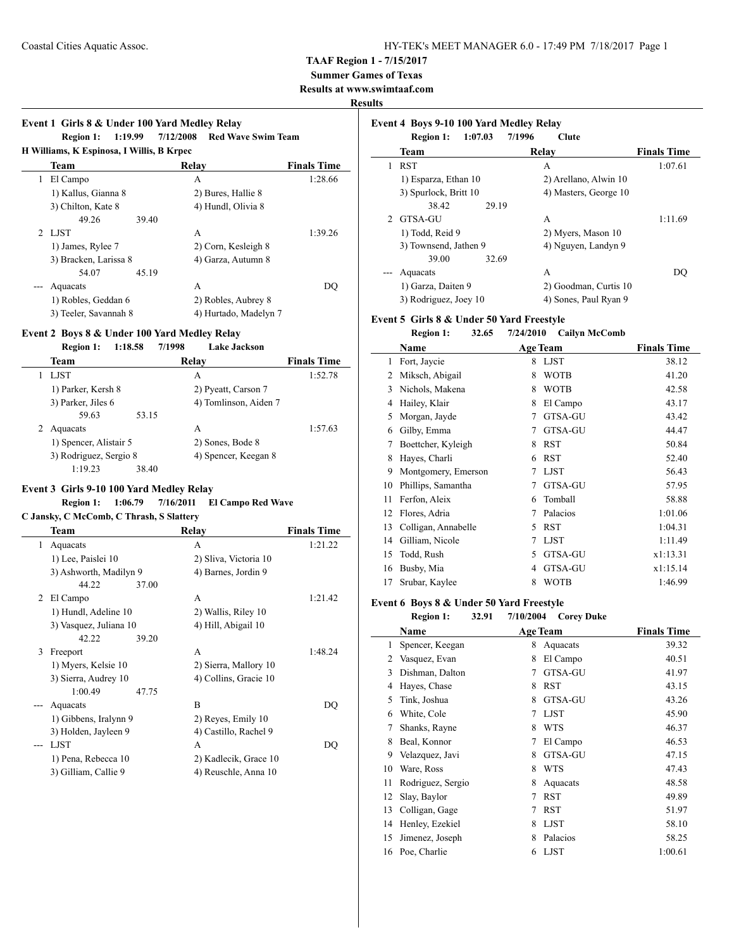**Summer Games of Texas**

**Results at www.swimtaaf.com**

## **Results**

 $\overline{a}$ 

 $\sim$ 

 $\frac{1}{2}$ 

|   | <b>Region 1:</b>                                  | Event 1 Girls 8 & Under 100 Yard Medley Relay<br>1:19.99 7/12/2008 Red Wave Swim Team |                    |
|---|---------------------------------------------------|---------------------------------------------------------------------------------------|--------------------|
|   | H Williams, K Espinosa, I Willis, B Krpec<br>Team | Relay                                                                                 | <b>Finals Time</b> |
| 1 | El Campo                                          | A                                                                                     | 1:28.66            |
|   | 1) Kallus, Gianna 8                               | 2) Bures, Hallie 8                                                                    |                    |
|   | 3) Chilton, Kate 8                                | 4) Hundl, Olivia 8                                                                    |                    |
|   | 49.26                                             | 39.40                                                                                 |                    |
|   | 2 LJST                                            | A                                                                                     | 1:39.26            |
|   | 1) James, Rylee 7                                 | 2) Corn, Kesleigh 8                                                                   |                    |
|   | 3) Bracken, Larissa 8                             | 4) Garza, Autumn 8                                                                    |                    |
|   | 54.07                                             | 45.19                                                                                 |                    |
|   | Aquacats                                          | A                                                                                     | DO                 |
|   | 1) Robles, Geddan 6                               | 2) Robles, Aubrey 8                                                                   |                    |
|   | 3) Teeler, Savannah 8                             | 4) Hurtado, Madelyn 7                                                                 |                    |

## **Event 2 Boys 8 & Under 100 Yard Medley Relay**

**Region 1: 1:18.58 7/1998 Lake Jackson**

| Team                   | Relay                 | <b>Finals Time</b> |
|------------------------|-----------------------|--------------------|
| <b>LJST</b>            | A                     | 1:52.78            |
| 1) Parker, Kersh 8     | 2) Pyeatt, Carson 7   |                    |
| 3) Parker, Jiles 6     | 4) Tomlinson, Aiden 7 |                    |
| 59.63                  | 53.15                 |                    |
| Aquacats               | A                     | 1:57.63            |
| 1) Spencer, Alistair 5 | 2) Sones, Bode 8      |                    |
| 3) Rodriguez, Sergio 8 | 4) Spencer, Keegan 8  |                    |
| 1:19.23                | 38.40                 |                    |

## **Event 3 Girls 9-10 100 Yard Medley Relay**

## **Region 1: 1:06.79 7/16/2011 El Campo Red Wave**

**C Jansky, C McComb, C Thrash, S Slattery**

|   | Team                   |       | Relay                 | <b>Finals Time</b> |
|---|------------------------|-------|-----------------------|--------------------|
| 1 | Aquacats               |       | A                     | 1:21.22            |
|   | 1) Lee, Paislei 10     |       | 2) Sliva, Victoria 10 |                    |
|   | 3) Ashworth, Madilyn 9 |       | 4) Barnes, Jordin 9   |                    |
|   | 44.22                  | 37.00 |                       |                    |
| 2 | El Campo               |       | A                     | 1:21.42            |
|   | 1) Hundl, Adeline 10   |       | 2) Wallis, Riley 10   |                    |
|   | 3) Vasquez, Juliana 10 |       | 4) Hill, Abigail 10   |                    |
|   | 42.22                  | 39.20 |                       |                    |
| 3 | Freeport               |       | A                     | 1:48.24            |
|   | 1) Myers, Kelsie 10    |       | 2) Sierra, Mallory 10 |                    |
|   | 3) Sierra, Audrey 10   |       | 4) Collins, Gracie 10 |                    |
|   | 1:00.49                | 47.75 |                       |                    |
|   | Aquacats               |       | B                     | DO                 |
|   | 1) Gibbens, Iralynn 9  |       | 2) Reyes, Emily 10    |                    |
|   | 3) Holden, Jayleen 9   |       | 4) Castillo, Rachel 9 |                    |
|   | <b>LJST</b>            |       | A                     | DO                 |
|   | 1) Pena, Rebecca 10    |       | 2) Kadlecik, Grace 10 |                    |
|   | 3) Gilliam, Callie 9   |       | 4) Reuschle, Anna 10  |                    |

|   | Region 1: 1:07.03     | 7/1996<br>Clute       |                    |
|---|-----------------------|-----------------------|--------------------|
|   | Team                  | Relay                 | <b>Finals Time</b> |
| 1 | <b>RST</b>            | A                     | 1:07.61            |
|   | 1) Esparza, Ethan 10  | 2) Arellano, Alwin 10 |                    |
|   | 3) Spurlock, Britt 10 | 4) Masters, George 10 |                    |
|   | 38.42<br>29.19        |                       |                    |
|   | 2 GTSA-GU             | A                     | 1:11.69            |
|   | 1) Todd, Reid 9       | 2) Myers, Mason 10    |                    |
|   | 3) Townsend, Jathen 9 | 4) Nguyen, Landyn 9   |                    |
|   | 39.00<br>32.69        |                       |                    |
|   | Aquacats              | A                     | DO                 |
|   | 1) Garza, Daiten 9    | 2) Goodman, Curtis 10 |                    |
|   | 3) Rodriguez, Joey 10 | 4) Sones, Paul Ryan 9 |                    |

## **Event 5 Girls 8 & Under 50 Yard Freestyle**

|                | <b>Region 1:</b><br>32.65 | 7/24/2010<br><b>Cailyn McComb</b> |                    |
|----------------|---------------------------|-----------------------------------|--------------------|
|                | Name                      | <b>Age Team</b>                   | <b>Finals Time</b> |
| 1              | Fort, Jaycie              | <b>LJST</b><br>8                  | 38.12              |
| $\overline{c}$ | Miksch, Abigail           | <b>WOTB</b><br>8                  | 41.20              |
| 3              | Nichols, Makena           | <b>WOTB</b><br>8                  | 42.58              |
| 4              | Hailey, Klair             | El Campo<br>8                     | 43.17              |
| 5              | Morgan, Jayde             | GTSA-GU<br>7                      | 43.42              |
| 6              | Gilby, Emma               | GTSA-GU<br>7                      | 44.47              |
| 7              | Boettcher, Kyleigh        | <b>RST</b><br>8                   | 50.84              |
| 8              | Hayes, Charli             | <b>RST</b><br>6                   | 52.40              |
| 9              | Montgomery, Emerson       | <b>LJST</b><br>7                  | 56.43              |
| 10             | Phillips, Samantha        | GTSA-GU<br>7                      | 57.95              |
| 11             | Ferfon, Aleix             | Tomball<br>6                      | 58.88              |
| 12             | Flores, Adria             | Palacios<br>7                     | 1:01.06            |
| 13             | Colligan, Annabelle       | <b>RST</b><br>5                   | 1:04.31            |
| 14             | Gilliam, Nicole           | <b>LJST</b><br>7                  | 1:11.49            |
| 15             | Todd, Rush                | GTSA-GU<br>5                      | x1:13.31           |
| 16             | Busby, Mia                | GTSA-GU<br>4                      | x1:15.14           |
| 17             | Srubar, Kaylee            | <b>WOTB</b><br>8                  | 1:46.99            |

#### **Event 6 Boys 8 & Under 50 Yard Freestyle**

|    | <b>Region 1:</b><br>32.91 | 7/10/2004<br><b>Corey Duke</b> |                    |
|----|---------------------------|--------------------------------|--------------------|
|    | Name                      | <b>Age Team</b>                | <b>Finals Time</b> |
| 1  | Spencer, Keegan           | 8<br>Aquacats                  | 39.32              |
| 2  | Vasquez, Evan             | El Campo<br>8                  | 40.51              |
| 3  | Dishman, Dalton           | GTSA-GU<br>7                   | 41.97              |
| 4  | Hayes, Chase              | <b>RST</b><br>8                | 43.15              |
| 5  | Tink, Joshua              | GTSA-GU<br>8                   | 43.26              |
| 6  | White, Cole               | <b>LJST</b><br>7               | 45.90              |
| 7  | Shanks, Rayne             | <b>WTS</b><br>8                | 46.37              |
| 8  | Beal, Konnor              | 7<br>El Campo                  | 46.53              |
| 9  | Velazquez, Javi           | GTSA-GU<br>8                   | 47.15              |
| 10 | Ware, Ross                | <b>WTS</b><br>8                | 47.43              |
| 11 | Rodriguez, Sergio         | 8<br>Aquacats                  | 48.58              |
| 12 | Slay, Baylor              | <b>RST</b><br>7                | 49.89              |
| 13 | Colligan, Gage            | <b>RST</b><br>7                | 51.97              |
| 14 | Henley, Ezekiel           | <b>LJST</b><br>8               | 58.10              |
| 15 | Jimenez, Joseph           | Palacios<br>8                  | 58.25              |
| 16 | Poe, Charlie              | <b>LJST</b><br>6               | 1:00.61            |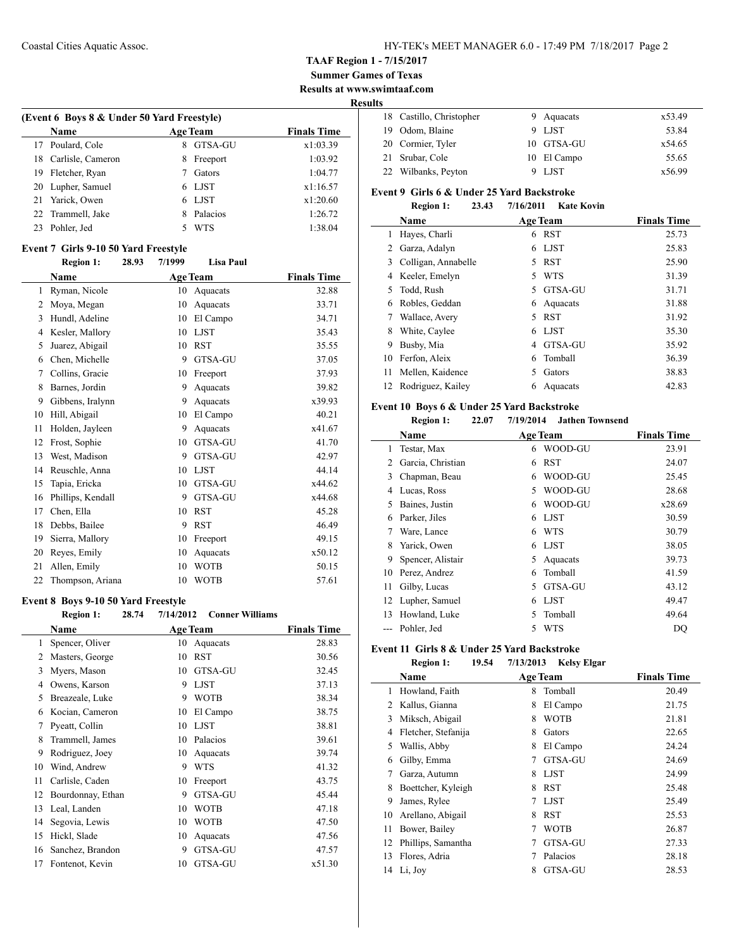**Summer Games of Texas**

**Results at www.swimtaaf.com**

**Results**

|    |                                            |   |            |                    | --------                 |
|----|--------------------------------------------|---|------------|--------------------|--------------------------|
|    | (Event 6 Boys 8 & Under 50 Yard Freestyle) |   |            |                    |                          |
|    | <b>Name</b>                                |   | Age Team   | <b>Finals Time</b> |                          |
| 17 | Poulard, Cole                              | 8 | GTSA-GU    | x1:03.39           |                          |
|    | 18 Carlisle, Cameron                       | 8 | Freeport   | 1:03.92            |                          |
| 19 | Fletcher, Ryan                             |   | Gators     | 1:04.77            | $\overline{\phantom{a}}$ |
|    | 20 Lupher, Samuel                          |   | 6 LJST     | x1:16.57           | Ev                       |
|    | 21 Yarick, Owen                            |   | 6 LJST     | x1:20.60           |                          |
|    | 22 Trammell, Jake                          | 8 | Palacios   | 1:26.72            |                          |
|    | Pohler, Jed                                |   | <b>WTS</b> | 1:38.04            |                          |
|    |                                            |   |            |                    |                          |

#### **Event 7 Girls 9-10 50 Yard Freestyle**

|    | <b>Region 1:</b>  | 28.93 | 7/1999 | <b>Lisa Paul</b> |                    |
|----|-------------------|-------|--------|------------------|--------------------|
|    | Name              |       |        | <b>Age Team</b>  | <b>Finals Time</b> |
| 1  | Ryman, Nicole     |       | 10     | Aquacats         | 32.88              |
| 2  | Moya, Megan       |       | 10     | Aquacats         | 33.71              |
| 3  | Hundl, Adeline    |       | 10     | El Campo         | 34.71              |
| 4  | Kesler, Mallory   |       | 10     | <b>LJST</b>      | 35.43              |
| 5  | Juarez, Abigail   |       | 10     | <b>RST</b>       | 35.55              |
| 6  | Chen, Michelle    |       | 9      | GTSA-GU          | 37.05              |
| 7  | Collins, Gracie   |       | 10     | Freeport         | 37.93              |
| 8  | Barnes, Jordin    |       | 9      | Aquacats         | 39.82              |
| 9  | Gibbens, Iralynn  |       | 9      | Aquacats         | x39.93             |
| 10 | Hill, Abigail     |       | 10     | El Campo         | 40.21              |
| 11 | Holden, Jayleen   |       | 9      | Aquacats         | x41.67             |
| 12 | Frost, Sophie     |       | 10     | <b>GTSA-GU</b>   | 41.70              |
| 13 | West, Madison     |       | 9      | GTSA-GU          | 42.97              |
| 14 | Reuschle, Anna    |       | 10     | <b>LJST</b>      | 44.14              |
| 15 | Tapia, Ericka     |       | 10     | <b>GTSA-GU</b>   | x44.62             |
| 16 | Phillips, Kendall |       | 9      | GTSA-GU          | x44.68             |
| 17 | Chen, Ella        |       | 10     | <b>RST</b>       | 45.28              |
| 18 | Debbs, Bailee     |       | 9      | <b>RST</b>       | 46.49              |
| 19 | Sierra, Mallory   |       | 10     | Freeport         | 49.15              |
| 20 | Reyes, Emily      |       | 10     | Aquacats         | x50.12             |
| 21 | Allen, Emily      |       | 10     | <b>WOTB</b>      | 50.15              |
| 22 | Thompson, Ariana  |       | 10     | <b>WOTB</b>      | 57.61              |

# **Event 8 Boys 9-10 50 Yard Freestyle**<br>**Bogion 1:** 28.74 7/14/201

|    | <b>Region 1:</b>  | 28.74 | 7/14/2012       | <b>Conner Williams</b> |                    |
|----|-------------------|-------|-----------------|------------------------|--------------------|
|    | Name              |       | <b>Age Team</b> |                        | <b>Finals Time</b> |
| 1  | Spencer, Oliver   |       | 10              | Aquacats               | 28.83              |
| 2  | Masters, George   |       | 10              | <b>RST</b>             | 30.56              |
| 3  | Myers, Mason      |       | 10              | GTSA-GU                | 32.45              |
| 4  | Owens, Karson     |       | 9               | <b>LJST</b>            | 37.13              |
| 5  | Breazeale, Luke   |       | 9               | <b>WOTB</b>            | 38.34              |
| 6  | Kocian, Cameron   |       | 10              | El Campo               | 38.75              |
| 7  | Pyeatt, Collin    |       | 10              | <b>LJST</b>            | 38.81              |
| 8  | Trammell, James   |       | 10              | Palacios               | 39.61              |
| 9  | Rodriguez, Joey   |       | 10              | Aquacats               | 39.74              |
| 10 | Wind, Andrew      |       | 9               | <b>WTS</b>             | 41.32              |
| 11 | Carlisle, Caden   |       | 10              | Freeport               | 43.75              |
| 12 | Bourdonnay, Ethan |       | 9               | GTSA-GU                | 45.44              |
| 13 | Leal, Landen      |       | 10              | <b>WOTB</b>            | 47.18              |
| 14 | Segovia, Lewis    |       | 10              | <b>WOTB</b>            | 47.50              |
| 15 | Hickl, Slade      |       | 10              | Aquacats               | 47.56              |
| 16 | Sanchez, Brandon  |       | 9               | GTSA-GU                | 47.57              |
| 17 | Fontenot, Kevin   |       | 10              | GTSA-GU                | x51.30             |
|    |                   |       |                 |                        |                    |

| 18 Castillo, Christopher | 9 Aquacats  | x53.49 |
|--------------------------|-------------|--------|
| 19 Odom, Blaine          | 9 LJST      | 53.84  |
| 20 Cormier, Tyler        | 10 GTSA-GU  | x54.65 |
| 21 Srubar, Cole          | 10 El Campo | 55.65  |
| 22 Wilbanks, Peyton      | 9 LJST      | x56.99 |

#### **Event 9 Girls 6 & Under 25 Yard Backstroke**

|    | 23.43<br><b>Region 1:</b> | 7/16/2011<br><b>Kate Kovin</b> |                    |
|----|---------------------------|--------------------------------|--------------------|
|    | <b>Name</b>               | <b>Age Team</b>                | <b>Finals Time</b> |
| 1  | Hayes, Charli             | <b>RST</b><br>6                | 25.73              |
| 2  | Garza, Adalyn             | LJST<br>6                      | 25.83              |
| 3  | Colligan, Annabelle       | <b>RST</b><br>5.               | 25.90              |
| 4  | Keeler, Emelyn            | <b>WTS</b><br>5.               | 31.39              |
| 5  | Todd, Rush                | GTSA-GU<br>5.                  | 31.71              |
| 6  | Robles, Geddan            | Aquacats<br>6                  | 31.88              |
| 7  | Wallace, Avery            | <b>RST</b><br>5.               | 31.92              |
| 8  | White, Caylee             | <b>LJST</b><br>6               | 35.30              |
| 9  | Busby, Mia                | GTSA-GU<br>4                   | 35.92              |
| 10 | Ferfon, Aleix             | Tomball<br>6                   | 36.39              |
| 11 | Mellen, Kaidence          | Gators<br>5.                   | 38.83              |
| 12 | Rodriguez, Kailey         | Aquacats<br>6                  | 42.83              |

#### **Event 10 Boys 6 & Under 25 Yard Backstroke**

#### **Region 1: 22.07 7/19/2014 Jathen Townsend**

|    | Name              | <b>Age Team</b>  | <b>Finals Time</b> |
|----|-------------------|------------------|--------------------|
| 1  | Testar, Max       | WOOD-GU<br>6     | 23.91              |
| 2  | Garcia, Christian | <b>RST</b><br>6  | 24.07              |
| 3  | Chapman, Beau     | WOOD-GU<br>6     | 25.45              |
| 4  | Lucas, Ross       | WOOD-GU<br>5.    | 28.68              |
| 5  | Baines, Justin    | WOOD-GU<br>6     | x28.69             |
| 6  | Parker, Jiles     | <b>LJST</b><br>6 | 30.59              |
| 7  | Ware, Lance       | <b>WTS</b><br>6  | 30.79              |
| 8  | Yarick, Owen      | <b>LJST</b><br>6 | 38.05              |
| 9  | Spencer, Alistair | Aquacats<br>5    | 39.73              |
| 10 | Perez, Andrez     | Tomball<br>6     | 41.59              |
| 11 | Gilby, Lucas      | GTSA-GU<br>5     | 43.12              |
|    | 12 Lupher, Samuel | <b>LJST</b><br>6 | 49.47              |
| 13 | Howland, Luke     | Tomball<br>5     | 49.64              |
|    | Pohler, Jed       | <b>WTS</b><br>5  | DO                 |

## **Event 11 Girls 8 & Under 25 Yard Backstroke**

|    | 19.54<br><b>Region 1:</b> | 7/13/2013<br><b>Kelsy Elgar</b> |                    |
|----|---------------------------|---------------------------------|--------------------|
|    | Name                      | <b>Age Team</b>                 | <b>Finals Time</b> |
| 1  | Howland, Faith            | Tomball<br>8                    | 20.49              |
| 2  | Kallus, Gianna            | El Campo<br>8                   | 21.75              |
| 3  | Miksch, Abigail           | <b>WOTB</b><br>8                | 21.81              |
| 4  | Fletcher, Stefanija       | 8<br>Gators                     | 22.65              |
| 5  | Wallis, Abby              | El Campo<br>8                   | 24.24              |
| 6  | Gilby, Emma               | GTSA-GU                         | 24.69              |
| 7  | Garza, Autumn             | <b>LJST</b><br>8                | 24.99              |
| 8  | Boettcher, Kyleigh        | <b>RST</b><br>8                 | 25.48              |
| 9  | James, Rylee              | <b>LJST</b>                     | 25.49              |
| 10 | Arellano, Abigail         | <b>RST</b><br>8                 | 25.53              |
| 11 | Bower, Bailey             | <b>WOTB</b>                     | 26.87              |
| 12 | Phillips, Samantha        | GTSA-GU                         | 27.33              |
| 13 | Flores, Adria             | Palacios                        | 28.18              |
| 14 | Li, Joy                   | GTSA-GU<br>8                    | 28.53              |
|    |                           |                                 |                    |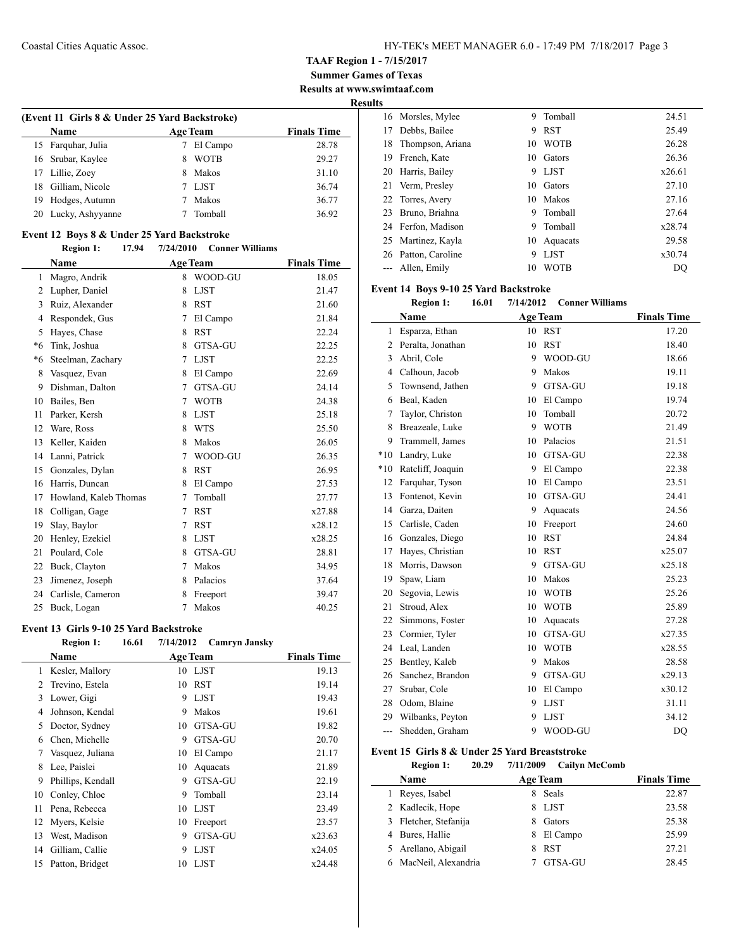**Summer Games of Texas Results at www.swimtaaf.com**

**Results**

|     | (Event 11 Girls 8 & Under 25 Yard Backstroke) |   |                 |                    |  |  |  |
|-----|-----------------------------------------------|---|-----------------|--------------------|--|--|--|
|     | <b>Name</b>                                   |   | <b>Age Team</b> | <b>Finals Time</b> |  |  |  |
|     | 15 Farquhar, Julia                            |   | El Campo        | 28.78              |  |  |  |
|     | 16 Srubar, Kaylee                             | 8 | <b>WOTB</b>     | 29.27              |  |  |  |
|     | 17 Lillie, Zoev                               |   | Makos           | 31.10              |  |  |  |
| 18. | Gilliam, Nicole                               |   | LJST            | 36.74              |  |  |  |
| 19  | Hodges, Autumn                                |   | Makos           | 36.77              |  |  |  |
|     | 20 Lucky, Ashyvanne                           |   | Tomball         | 36.92              |  |  |  |

## **Event 12 Boys 8 & Under 25 Yard Backstroke**

#### **Region 1: 17.94 7/24/2010 Conner Williams**

|    | <b>Name</b>           |   | <b>Age Team</b> | <b>Finals Time</b> |
|----|-----------------------|---|-----------------|--------------------|
| 1  | Magro, Andrik         | 8 | WOOD-GU         | 18.05              |
| 2  | Lupher, Daniel        | 8 | <b>LJST</b>     | 21.47              |
| 3  | Ruiz, Alexander       | 8 | <b>RST</b>      | 21.60              |
| 4  | Respondek, Gus        | 7 | El Campo        | 21.84              |
| 5  | Hayes, Chase          | 8 | <b>RST</b>      | 22.24              |
| *6 | Tink, Joshua          | 8 | GTSA-GU         | 22.25              |
| *6 | Steelman, Zachary     | 7 | <b>LJST</b>     | 22.25              |
| 8  | Vasquez, Evan         | 8 | El Campo        | 22.69              |
| 9  | Dishman, Dalton       | 7 | GTSA-GU         | 24.14              |
| 10 | Bailes, Ben           | 7 | <b>WOTB</b>     | 24.38              |
| 11 | Parker, Kersh         | 8 | <b>LJST</b>     | 25.18              |
| 12 | Ware, Ross            | 8 | <b>WTS</b>      | 25.50              |
| 13 | Keller, Kaiden        | 8 | Makos           | 26.05              |
| 14 | Lanni, Patrick        | 7 | WOOD-GU         | 26.35              |
| 15 | Gonzales, Dylan       | 8 | <b>RST</b>      | 26.95              |
| 16 | Harris, Duncan        | 8 | El Campo        | 27.53              |
| 17 | Howland, Kaleb Thomas | 7 | Tomball         | 27.77              |
| 18 | Colligan, Gage        | 7 | <b>RST</b>      | x27.88             |
| 19 | Slay, Baylor          | 7 | <b>RST</b>      | x28.12             |
| 20 | Henley, Ezekiel       | 8 | <b>LJST</b>     | x28.25             |
| 21 | Poulard, Cole         | 8 | GTSA-GU         | 28.81              |
| 22 | Buck, Clayton         | 7 | Makos           | 34.95              |
| 23 | Jimenez, Joseph       | 8 | Palacios        | 37.64              |
| 24 | Carlisle, Cameron     | 8 | Freeport        | 39.47              |
| 25 | Buck, Logan           | 7 | Makos           | 40.25              |

#### **Event 13 Girls 9-10 25 Yard Backstroke**

|    | <b>Region 1:</b>  | 16.61 | 7/14/2012 | Camryn Jansky   |                    |
|----|-------------------|-------|-----------|-----------------|--------------------|
|    | Name              |       |           | <b>Age Team</b> | <b>Finals Time</b> |
| 1  | Kesler, Mallory   |       | 10        | LJST            | 19.13              |
| 2  | Trevino, Estela   |       | 10        | <b>RST</b>      | 19.14              |
| 3  | Lower, Gigi       |       | 9         | <b>LJST</b>     | 19.43              |
| 4  | Johnson, Kendal   |       | 9         | Makos           | 19.61              |
| 5  | Doctor, Sydney    |       | 10        | GTSA-GU         | 19.82              |
| 6  | Chen, Michelle    |       | 9         | GTSA-GU         | 20.70              |
| 7  | Vasquez, Juliana  |       | 10        | El Campo        | 21.17              |
| 8  | Lee, Paislei      |       | 10        | Aquacats        | 21.89              |
| 9  | Phillips, Kendall |       | 9         | GTSA-GU         | 22.19              |
| 10 | Conley, Chloe     |       | 9         | Tomball         | 23.14              |
| 11 | Pena, Rebecca     |       | 10        | <b>LJST</b>     | 23.49              |
| 12 | Myers, Kelsie     |       | 10        | Freeport        | 23.57              |
| 13 | West, Madison     |       | 9         | GTSA-GU         | x23.63             |
| 14 | Gilliam, Callie   |       | 9         | <b>LJST</b>     | x24.05             |
| 15 | Patton, Bridget   |       | 10        | <b>LJST</b>     | x24.48             |
|    |                   |       |           |                 |                    |

| 16  | Morsles, Mylee     | 9  | Tomball     | 24.51  |
|-----|--------------------|----|-------------|--------|
| 17  | Debbs, Bailee      | 9  | <b>RST</b>  | 25.49  |
| 18  | Thompson, Ariana   | 10 | <b>WOTB</b> | 26.28  |
| 19  | French, Kate       | 10 | Gators      | 26.36  |
| 20  | Harris, Bailey     | 9  | <b>LJST</b> | x26.61 |
| 21  | Verm, Presley      | 10 | Gators      | 27.10  |
|     | 22 Torres, Avery   | 10 | Makos       | 27.16  |
| 23  | Bruno, Briahna     | 9  | Tomball     | 27.64  |
|     | 24 Ferfon, Madison | 9  | Tomball     | x28.74 |
| 25  | Martinez, Kayla    | 10 | Aquacats    | 29.58  |
| 26  | Patton, Caroline   | 9  | <b>LJST</b> | x30.74 |
| --- | Allen, Emily       | 10 | <b>WOTB</b> | DO     |
|     |                    |    |             |        |

#### **Event 14 Boys 9-10 25 Yard Backstroke**

**Region 1: 16.01 7/14/2012 Conner Williams**

|                | Name              | <b>Age Team</b> |                | <b>Finals Time</b> |
|----------------|-------------------|-----------------|----------------|--------------------|
| 1              | Esparza, Ethan    | 10              | <b>RST</b>     | 17.20              |
| $\overline{c}$ | Peralta, Jonathan | 10              | <b>RST</b>     | 18.40              |
| 3              | Abril, Cole       | 9               | WOOD-GU        | 18.66              |
| 4              | Calhoun, Jacob    | 9               | Makos          | 19.11              |
| 5              | Townsend, Jathen  | 9               | <b>GTSA-GU</b> | 19.18              |
| 6              | Beal, Kaden       | 10              | El Campo       | 19.74              |
| 7              | Taylor, Christon  | 10              | Tomball        | 20.72              |
| 8              | Breazeale, Luke   | 9               | <b>WOTB</b>    | 21.49              |
| 9              | Trammell, James   | 10              | Palacios       | 21.51              |
| $*10$          | Landry, Luke      | 10              | GTSA-GU        | 22.38              |
| $*10$          | Ratcliff, Joaquin |                 | 9 El Campo     | 22.38              |
| 12             | Farquhar, Tyson   | 10              | El Campo       | 23.51              |
| 13             | Fontenot, Kevin   | 10              | GTSA-GU        | 24.41              |
| 14             | Garza, Daiten     | 9               | Aquacats       | 24.56              |
| 15             | Carlisle, Caden   | 10              | Freeport       | 24.60              |
| 16             | Gonzales, Diego   | 10              | <b>RST</b>     | 24.84              |
| 17             | Hayes, Christian  | 10              | <b>RST</b>     | x25.07             |
| 18             | Morris, Dawson    | 9               | GTSA-GU        | x25.18             |
| 19             | Spaw, Liam        | 10              | Makos          | 25.23              |
| 20             | Segovia, Lewis    | 10              | <b>WOTB</b>    | 25.26              |
| 21             | Stroud, Alex      | 10              | <b>WOTB</b>    | 25.89              |
| 22             | Simmons, Foster   | 10              | Aquacats       | 27.28              |
| 23             | Cormier, Tyler    | 10              | <b>GTSA-GU</b> | x27.35             |
| 24             | Leal, Landen      | 10              | <b>WOTB</b>    | x28.55             |
| 25             | Bentley, Kaleb    | 9               | Makos          | 28.58              |
| 26             | Sanchez, Brandon  | 9               | <b>GTSA-GU</b> | x29.13             |
| 27             | Srubar, Cole      | 10              | El Campo       | x30.12             |
| 28             | Odom, Blaine      | 9               | <b>LJST</b>    | 31.11              |
| 29             | Wilbanks, Peyton  | 9               | <b>LJST</b>    | 34.12              |
| ---            | Shedden. Graham   | 9               | WOOD-GU        | DO                 |

## **Event 15 Girls 8 & Under 25 Yard Breaststroke**

|   | 20.29<br><b>Region 1:</b> | 7/11/2009<br><b>Cailyn McComb</b> |                    |
|---|---------------------------|-----------------------------------|--------------------|
|   | Name                      | <b>Age Team</b>                   | <b>Finals Time</b> |
|   | Reyes, Isabel             | Seals                             | 22.87              |
|   | 2 Kadlecik, Hope          | <b>LJST</b>                       | 23.58              |
| 3 | Fletcher, Stefanija       | Gators                            | 25.38              |
| 4 | Bures, Hallie             | El Campo<br>8                     | 25.99              |
|   | Arellano, Abigail         | <b>RST</b><br>8                   | 27.21              |
|   | MacNeil, Alexandria       | GTSA-GU                           | 28.45              |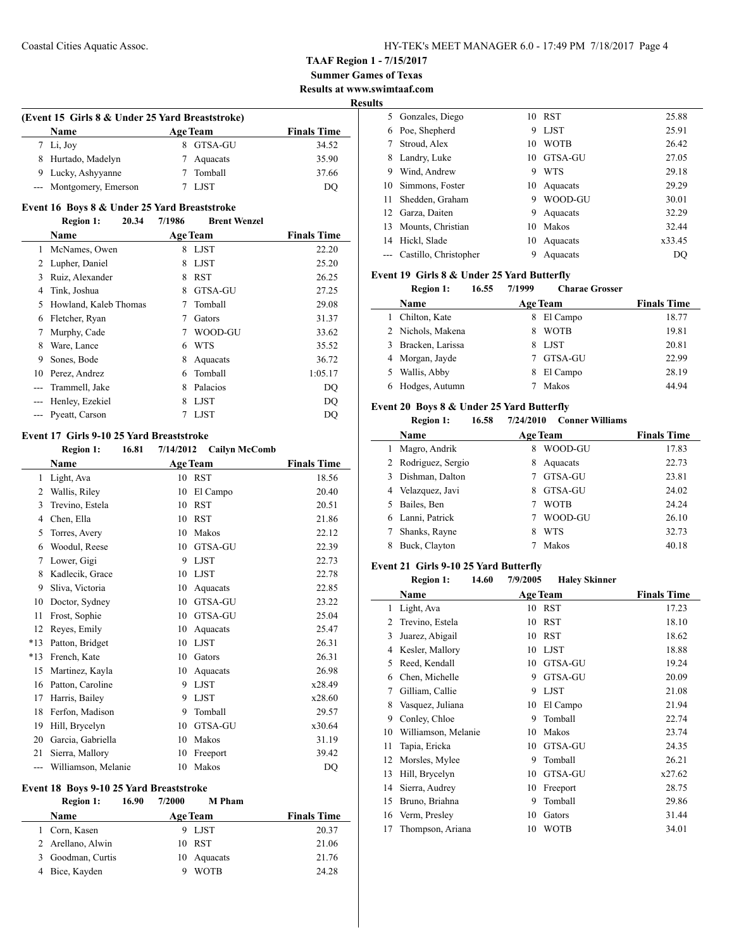**Summer Games of Texas**

**Results at www.swimtaaf.com**

**Results**

 $\overline{\phantom{0}}$ 

| (Event 15 Girls 8 & Under 25 Yard Breaststroke) |                         |   |                 |                    |  |
|-------------------------------------------------|-------------------------|---|-----------------|--------------------|--|
|                                                 | Name                    |   | <b>Age Team</b> | <b>Finals Time</b> |  |
|                                                 | 7 Li, Joy               |   | 8 GTSA-GU       | 34.52              |  |
|                                                 | 8 Hurtado, Madelyn      | 7 | Aquacats        | 35.90              |  |
|                                                 | 9 Lucky, Ashyyanne      |   | Tomball         | 37.66              |  |
|                                                 | --- Montgomery, Emerson |   | L IST           | DO                 |  |

## **Event 16 Boys 8 & Under 25 Yard Breaststroke**

|    | <b>Region 1:</b><br>20.34 | 7/1986 | <b>Brent Wenzel</b> |                    |
|----|---------------------------|--------|---------------------|--------------------|
|    | Name                      |        | <b>Age Team</b>     | <b>Finals Time</b> |
| 1  | McNames, Owen             | 8      | <b>LJST</b>         | 22.20              |
| 2  | Lupher, Daniel            | 8      | <b>LJST</b>         | 25.20              |
| 3  | Ruiz, Alexander           | 8      | <b>RST</b>          | 26.25              |
| 4  | Tink, Joshua              | 8      | GTSA-GU             | 27.25              |
| 5  | Howland, Kaleb Thomas     | 7      | Tomball             | 29.08              |
| 6  | Fletcher, Ryan            | 7      | Gators              | 31.37              |
| 7  | Murphy, Cade              | 7      | WOOD-GU             | 33.62              |
| 8  | Ware, Lance               | 6      | <b>WTS</b>          | 35.52              |
| 9  | Sones, Bode               | 8      | Aquacats            | 36.72              |
| 10 | Perez, Andrez             | 6      | Tomball             | 1:05.17            |
|    | Trammell, Jake            | 8      | Palacios            | DQ                 |
|    | Henley, Ezekiel           | 8      | <b>LJST</b>         | DO                 |
|    | Pyeatt, Carson            | 7      | <b>LJST</b>         | DO                 |

## **Event 17 Girls 9-10 25 Yard Breaststroke**

#### **Region 1: 16.81 7/14/2012 Cailyn McComb**

| Name                |    |             | <b>Finals Time</b> |
|---------------------|----|-------------|--------------------|
| Light, Ava          | 10 | <b>RST</b>  | 18.56              |
| Wallis, Riley       | 10 | El Campo    | 20.40              |
| Trevino, Estela     | 10 | <b>RST</b>  | 20.51              |
| Chen, Ella          | 10 | <b>RST</b>  | 21.86              |
| Torres, Avery       | 10 | Makos       | 22.12              |
| Woodul, Reese       | 10 | GTSA-GU     | 22.39              |
| Lower, Gigi         | 9  | <b>LJST</b> | 22.73              |
| Kadlecik, Grace     | 10 | <b>LJST</b> | 22.78              |
| Sliva, Victoria     | 10 | Aquacats    | 22.85              |
| Doctor, Sydney      | 10 | GTSA-GU     | 23.22              |
| Frost, Sophie       | 10 | GTSA-GU     | 25.04              |
| Reyes, Emily        | 10 | Aquacats    | 25.47              |
| Patton, Bridget     | 10 | <b>LJST</b> | 26.31              |
| French, Kate        | 10 | Gators      | 26.31              |
| Martinez, Kayla     | 10 | Aquacats    | 26.98              |
| Patton, Caroline    | 9  | <b>LJST</b> | x28.49             |
| Harris, Bailey      | 9  | <b>LJST</b> | x28.60             |
| Ferfon, Madison     | 9  | Tomball     | 29.57              |
| Hill, Brycelyn      | 10 | GTSA-GU     | x30.64             |
| Garcia, Gabriella   | 10 | Makos       | 31.19              |
| Sierra, Mallory     | 10 | Freeport    | 39.42              |
| Williamson, Melanie | 10 | Makos       | DQ                 |
|                     |    |             | <b>Age Team</b>    |

# **Event 18 Boys 9-10 25 Yard Breaststroke**

| <b>Region 1:</b><br>16.90 | 7/2000<br><b>M</b> Pham |                    |
|---------------------------|-------------------------|--------------------|
| Name                      | <b>Age Team</b>         | <b>Finals Time</b> |
| Corn, Kasen               | 9 LJST                  | 20.37              |
| 2 Arellano, Alwin         | 10 RST                  | 21.06              |
| Goodman, Curtis<br>3      | 10 Aquacats             | 21.76              |
| Bice, Kayden              | <b>WOTB</b>             | 24.28              |

| .  |                       |    |             |        |
|----|-----------------------|----|-------------|--------|
| 5. | Gonzales, Diego       |    | 10 RST      | 25.88  |
| 6  | Poe, Shepherd         | 9  | <b>LIST</b> | 25.91  |
| 7  | Stroud, Alex          | 10 | <b>WOTB</b> | 26.42  |
| 8  | Landry, Luke          | 10 | GTSA-GU     | 27.05  |
| 9  | Wind, Andrew          | 9  | <b>WTS</b>  | 29.18  |
|    | 10 Simmons, Foster    | 10 | Aquacats    | 29.29  |
| 11 | Shedden, Graham       | 9  | WOOD-GU     | 30.01  |
|    | 12 Garza, Daiten      | 9  | Aquacats    | 32.29  |
| 13 | Mounts, Christian     | 10 | Makos       | 32.44  |
| 14 | Hickl, Slade          | 10 | Aquacats    | x33.45 |
|    | Castillo, Christopher |    | Aquacats    | DO     |

#### **Event 19 Girls 8 & Under 25 Yard Butterfly**

|    | <b>Region 1:</b>  | 16.55 | 7/1999 | <b>Charae Grosser</b> |                    |
|----|-------------------|-------|--------|-----------------------|--------------------|
|    | <b>Name</b>       |       |        | <b>Age Team</b>       | <b>Finals Time</b> |
|    | Chilton, Kate     |       | 8      | El Campo              | 18.77              |
|    | 2 Nichols, Makena |       | 8      | <b>WOTB</b>           | 19.81              |
| 3. | Bracken, Larissa  |       | 8      | <b>LIST</b>           | 20.81              |
|    | 4 Morgan, Jayde   |       |        | GTSA-GU               | 22.99              |
| 5. | Wallis, Abby      |       | 8      | El Campo              | 28.19              |
|    | Hodges, Autumn    |       |        | Makos                 | 44.94              |

#### **Event 20 Boys 8 & Under 25 Yard Butterfly**

## **Region 1: 16.58 7/24/2010 Conner Williams**

|    | Name                |   | <b>Age Team</b> | <b>Finals Time</b> |
|----|---------------------|---|-----------------|--------------------|
|    | Magro, Andrik       | 8 | WOOD-GU         | 17.83              |
|    | 2 Rodriguez, Sergio | 8 | Aquacats        | 22.73              |
| 3  | Dishman, Dalton     |   | GTSA-GU         | 23.81              |
| 4  | Velazquez, Javi     | 8 | GTSA-GU         | 24.02              |
| 5. | Bailes, Ben         |   | <b>WOTB</b>     | 24.24              |
| 6  | Lanni, Patrick      |   | WOOD-GU         | 26.10              |
|    | Shanks, Rayne       | 8 | <b>WTS</b>      | 32.73              |
| 8  | Buck, Clayton       |   | Makos           | 40.18              |
|    |                     |   |                 |                    |

## **Event 21 Girls 9-10 25 Yard Butterfly**

|    | <b>Region 1:</b><br>14.60 | 7/9/2005 | <b>Haley Skinner</b> |                    |
|----|---------------------------|----------|----------------------|--------------------|
|    | Name                      |          | <b>Age Team</b>      | <b>Finals Time</b> |
| 1  | Light, Ava                | 10       | <b>RST</b>           | 17.23              |
| 2  | Trevino, Estela           | 10       | <b>RST</b>           | 18.10              |
| 3  | Juarez, Abigail           | 10       | <b>RST</b>           | 18.62              |
| 4  | Kesler, Mallory           | 10       | <b>LJST</b>          | 18.88              |
| 5  | Reed, Kendall             | 10       | GTSA-GU              | 19.24              |
| 6  | Chen, Michelle            | 9        | GTSA-GU              | 20.09              |
| 7  | Gilliam, Callie           | 9        | <b>LJST</b>          | 21.08              |
| 8  | Vasquez, Juliana          | 10       | El Campo             | 21.94              |
| 9  | Conley, Chloe             | 9        | Tomball              | 22.74              |
| 10 | Williamson, Melanie       | 10       | Makos                | 23.74              |
| 11 | Tapia, Ericka             | 10       | GTSA-GU              | 24.35              |
| 12 | Morsles, Mylee            | 9        | Tomball              | 26.21              |
| 13 | Hill, Brycelyn            | 10       | GTSA-GU              | x27.62             |
| 14 | Sierra, Audrey            | 10       | Freeport             | 28.75              |
| 15 | Bruno, Briahna            | 9        | Tomball              | 29.86              |
| 16 | Verm, Presley             | 10       | Gators               | 31.44              |
| 17 | Thompson, Ariana          | 10       | <b>WOTB</b>          | 34.01              |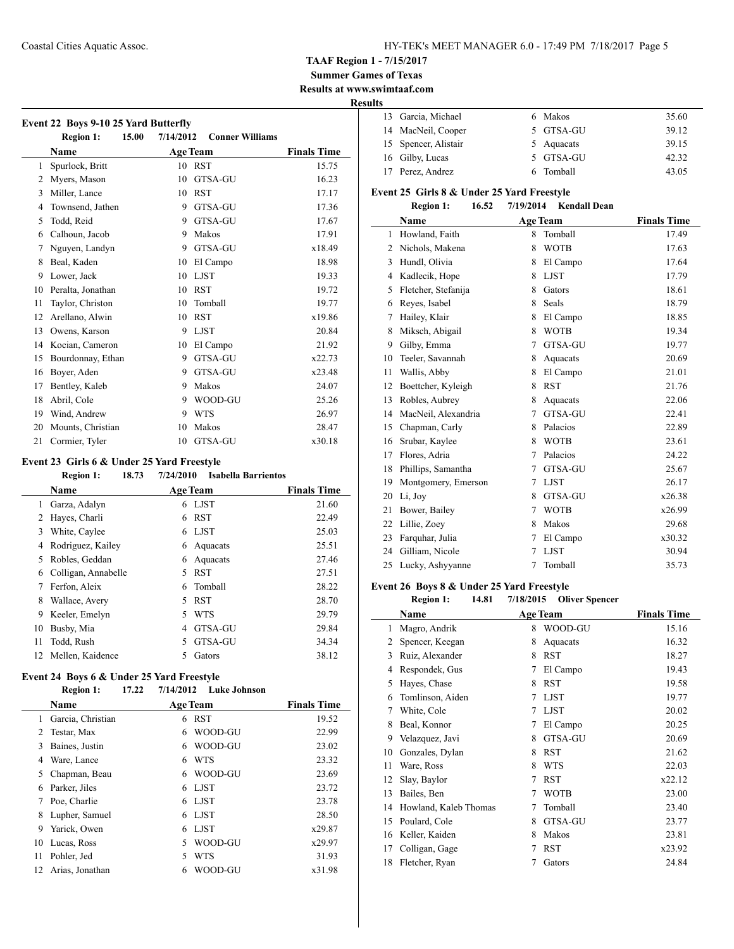**Summer Games of Texas Results at www.swimtaaf.com**

**Results**

|    | <b>Region 1:</b><br>15.00 | 7/14/2012 | <b>Conner Williams</b> |                    |
|----|---------------------------|-----------|------------------------|--------------------|
|    | Name                      |           | <b>Age Team</b>        | <b>Finals Time</b> |
| 1  | Spurlock, Britt           | 10        | <b>RST</b>             | 15.75              |
| 2  | Myers, Mason              | 10        | GTSA-GU                | 16.23              |
| 3  | Miller, Lance             | 10        | <b>RST</b>             | 17.17              |
| 4  | Townsend, Jathen          | 9         | GTSA-GU                | 17.36              |
| 5  | Todd, Reid                | 9         | GTSA-GU                | 17.67              |
| 6  | Calhoun, Jacob            | 9         | Makos                  | 17.91              |
| 7  | Nguyen, Landyn            | 9         | GTSA-GU                | x18.49             |
| 8  | Beal, Kaden               | 10        | El Campo               | 18.98              |
| 9  | Lower, Jack               | 10        | <b>LJST</b>            | 19.33              |
| 10 | Peralta, Jonathan         | 10        | <b>RST</b>             | 19.72              |
| 11 | Taylor, Christon          | 10        | Tomball                | 19.77              |
| 12 | Arellano, Alwin           | 10        | <b>RST</b>             | x19.86             |
| 13 | Owens, Karson             | 9         | <b>LJST</b>            | 20.84              |
| 14 | Kocian, Cameron           | 10        | El Campo               | 21.92              |
| 15 | Bourdonnay, Ethan         | 9         | GTSA-GU                | x22.73             |
| 16 | Boyer, Aden               | 9         | GTSA-GU                | x23.48             |
| 17 | Bentley, Kaleb            | 9         | Makos                  | 24.07              |
| 18 | Abril, Cole               | 9         | WOOD-GU                | 25.26              |
| 19 | Wind, Andrew              | 9         | <b>WTS</b>             | 26.97              |
| 20 | Mounts, Christian         | 10        | Makos                  | 28.47              |
| 21 | Cormier, Tyler            | 10        | GTSA-GU                | x30.18             |

#### **Event 23 Girls 6 & Under 25 Yard Freestyle**

|    | <b>Region 1:</b>    | 18.73 | 7/24/2010 | <b>Isabella Barrientos</b> |                    |
|----|---------------------|-------|-----------|----------------------------|--------------------|
|    | <b>Name</b>         |       |           | <b>Age Team</b>            | <b>Finals Time</b> |
| 1  | Garza, Adalyn       |       | 6         | <b>LJST</b>                | 21.60              |
|    | Hayes, Charli       |       | 6         | <b>RST</b>                 | 22.49              |
| 3  | White, Caylee       |       | 6         | <b>LJST</b>                | 25.03              |
| 4  | Rodriguez, Kailey   |       | 6         | Aquacats                   | 25.51              |
| 5. | Robles, Geddan      |       | 6         | Aquacats                   | 27.46              |
| 6  | Colligan, Annabelle |       | 5.        | <b>RST</b>                 | 27.51              |
| 7  | Ferfon, Aleix       |       | 6         | Tomball                    | 28.22              |
| 8  | Wallace, Avery      |       | 5.        | <b>RST</b>                 | 28.70              |
| 9  | Keeler, Emelyn      |       | 5         | <b>WTS</b>                 | 29.79              |
| 10 | Busby, Mia          |       | 4         | GTSA-GU                    | 29.84              |
| 11 | Todd, Rush          |       | 5.        | GTSA-GU                    | 34.34              |
| 12 | Mellen, Kaidence    |       |           | Gators                     | 38.12              |
|    |                     |       |           |                            |                    |

#### **Event 24 Boys 6 & Under 25 Yard Freestyle Region 1: 17.22 7/14/2012 Luke John**

|    | Region 1:         | 17.44 |    | //14/2012 LUKE JOHNSON |                    |
|----|-------------------|-------|----|------------------------|--------------------|
|    | <b>Name</b>       |       |    | <b>Age Team</b>        | <b>Finals Time</b> |
| 1. | Garcia, Christian |       |    | 6 RST                  | 19.52              |
| 2  | Testar, Max       |       | 6  | WOOD-GU                | 22.99              |
| 3  | Baines, Justin    |       | 6  | WOOD-GU                | 23.02              |
| 4  | Ware, Lance       |       | 6  | <b>WTS</b>             | 23.32              |
| 5  | Chapman, Beau     |       | 6. | WOOD-GU                | 23.69              |
| 6  | Parker, Jiles     |       | 6. | LJST                   | 23.72              |
|    | Poe, Charlie      |       | 6  | <b>LIST</b>            | 23.78              |
| 8  | Lupher, Samuel    |       | 6. | LJST                   | 28.50              |
| 9  | Yarick, Owen      |       | 6. | LJST                   | x29.87             |
| 10 | Lucas, Ross       |       | 5. | WOOD-GU                | x29.97             |
| 11 | Pohler, Jed       |       | 5  | <b>WTS</b>             | 31.93              |
| 12 | Arias, Jonathan   |       | 6  | WOOD-GU                | x31.98             |
|    |                   |       |    |                        |                    |

| w |                      |            |       |
|---|----------------------|------------|-------|
|   | 13 Garcia, Michael   | 6 Makos    | 35.60 |
|   | 14 MacNeil, Cooper   | 5 GTSA-GU  | 39.12 |
|   | 15 Spencer, Alistair | 5 Aquacats | 39.15 |
|   | 16 Gilby, Lucas      | 5 GTSA-GU  | 42.32 |
|   | 17 Perez, Andrez     | 6 Tomball  | 43.05 |

## **Event 25 Girls 8 & Under 25 Yard Freestyle**

|    | <b>Region 1:</b><br>16.52 | 7/19/2014       | <b>Kendall Dean</b> |                    |
|----|---------------------------|-----------------|---------------------|--------------------|
|    | Name                      | <b>Age Team</b> |                     | <b>Finals Time</b> |
| 1  | Howland, Faith            | 8               | Tomball             | 17.49              |
| 2  | Nichols, Makena           | 8               | <b>WOTB</b>         | 17.63              |
| 3  | Hundl, Olivia             | 8               | El Campo            | 17.64              |
| 4  | Kadlecik, Hope            | 8               | <b>LJST</b>         | 17.79              |
| 5  | Fletcher, Stefanija       | 8               | Gators              | 18.61              |
| 6  | Reves, Isabel             | 8               | Seals               | 18.79              |
| 7  | Hailey, Klair             | 8               | El Campo            | 18.85              |
| 8  | Miksch, Abigail           | 8               | <b>WOTB</b>         | 19.34              |
| 9  | Gilby, Emma               | 7               | GTSA-GU             | 19.77              |
| 10 | Teeler, Savannah          | 8               | Aquacats            | 20.69              |
| 11 | Wallis, Abby              | 8               | El Campo            | 21.01              |
| 12 | Boettcher, Kyleigh        | 8               | <b>RST</b>          | 21.76              |
| 13 | Robles, Aubrey            | 8               | Aquacats            | 22.06              |
| 14 | MacNeil, Alexandria       | 7               | GTSA-GU             | 22.41              |
| 15 | Chapman, Carly            | 8               | Palacios            | 22.89              |
| 16 | Srubar, Kaylee            | 8               | <b>WOTB</b>         | 23.61              |
| 17 | Flores, Adria             | 7               | Palacios            | 24.22              |
| 18 | Phillips, Samantha        | 7               | GTSA-GU             | 25.67              |
| 19 | Montgomery, Emerson       | 7               | <b>LJST</b>         | 26.17              |
| 20 | Li, Joy                   | 8               | GTSA-GU             | x26.38             |
| 21 | Bower, Bailey             | 7               | <b>WOTB</b>         | x26.99             |
| 22 | Lillie, Zoey              | 8               | Makos               | 29.68              |
| 23 | Farquhar, Julia           | 7               | El Campo            | x30.32             |
| 24 | Gilliam, Nicole           | 7               | <b>LJST</b>         | 30.94              |
| 25 | Lucky, Ashyyanne          | 7               | Tomball             | 35.73              |

## **Event 26 Boys 8 & Under 25 Yard Freestyle**

 $\overline{\phantom{a}}$ 

|    | <b>Region 1:</b><br>14.81 | 7/18/2015 | <b>Oliver Spencer</b> |                    |
|----|---------------------------|-----------|-----------------------|--------------------|
|    | Name                      |           | <b>Age Team</b>       | <b>Finals Time</b> |
| 1  | Magro, Andrik             | 8         | WOOD-GU               | 15.16              |
| 2  | Spencer, Keegan           | 8         | Aquacats              | 16.32              |
| 3  | Ruiz, Alexander           | 8         | <b>RST</b>            | 18.27              |
| 4  | Respondek, Gus            | 7         | El Campo              | 19.43              |
| 5  | Hayes, Chase              | 8         | <b>RST</b>            | 19.58              |
| 6  | Tomlinson, Aiden          | 7         | <b>LJST</b>           | 19.77              |
| 7  | White, Cole               | 7         | <b>LJST</b>           | 20.02              |
| 8  | Beal, Konnor              | 7         | El Campo              | 20.25              |
| 9  | Velazquez, Javi           | 8         | GTSA-GU               | 20.69              |
| 10 | Gonzales, Dylan           | 8         | <b>RST</b>            | 21.62              |
| 11 | Ware, Ross                | 8         | <b>WTS</b>            | 22.03              |
| 12 | Slay, Baylor              | 7         | <b>RST</b>            | x22.12             |
| 13 | Bailes, Ben               | 7         | <b>WOTB</b>           | 23.00              |
| 14 | Howland, Kaleb Thomas     | 7         | Tomball               | 23.40              |
| 15 | Poulard, Cole             | 8         | GTSA-GU               | 23.77              |
| 16 | Keller, Kaiden            | 8         | Makos                 | 23.81              |
| 17 | Colligan, Gage            | 7         | <b>RST</b>            | x23.92             |
| 18 | Fletcher, Ryan            | 7         | Gators                | 24.84              |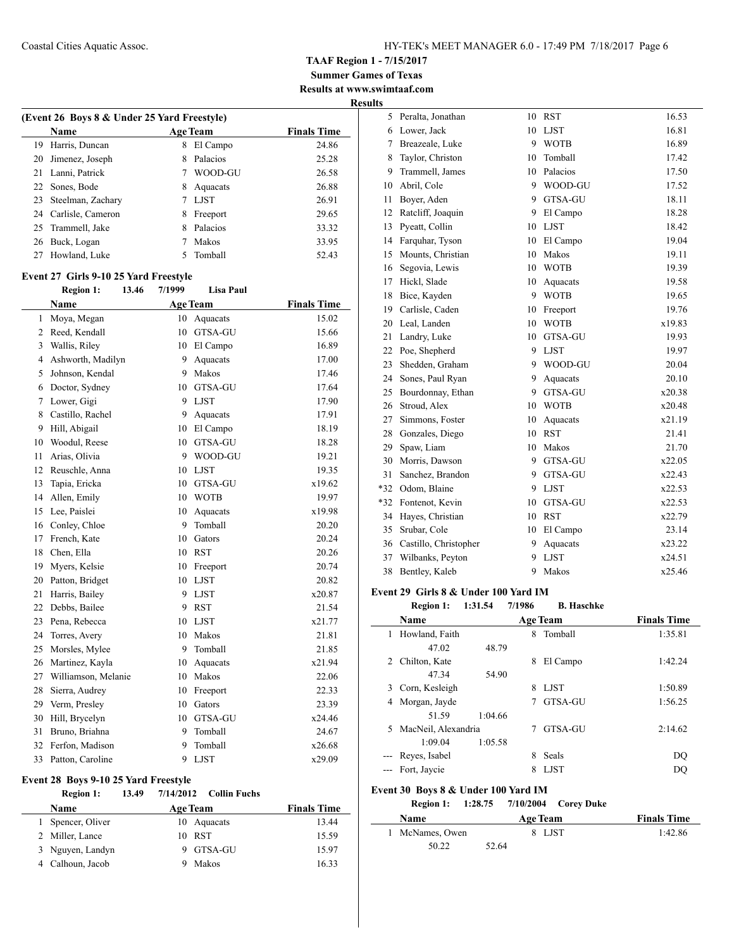**Summer Games of Texas Results at www.swimtaaf.com**

**Results**

|    |                                             |        |                 | Res                |
|----|---------------------------------------------|--------|-----------------|--------------------|
|    | (Event 26 Boys 8 & Under 25 Yard Freestyle) |        |                 |                    |
|    | Name                                        |        | <b>Age Team</b> | <b>Finals Time</b> |
| 19 | Harris, Duncan                              |        | 8 El Campo      | 24.86              |
| 20 | Jimenez, Joseph                             | 8      | Palacios        | 25.28              |
| 21 | Lanni, Patrick                              |        | 7 WOOD-GU       | 26.58              |
| 22 | Sones, Bode                                 |        | 8 Aquacats      | 26.88              |
| 23 | Steelman, Zachary                           |        | 7 LJST          | 26.91              |
|    | 24 Carlisle, Cameron                        |        | 8 Freeport      | 29.65              |
| 25 | Trammell, Jake                              |        | 8 Palacios      | 33.32              |
| 26 | Buck, Logan                                 | $\tau$ | Makos           | 33.95              |
| 27 | Howland, Luke                               | 5      | Tomball         | 52.43              |
|    | Event 27 Girls 9-10 25 Yard Freestyle       |        |                 |                    |
|    | <b>Region 1:</b><br>13.46                   | 7/1999 | Lisa Paul       |                    |
|    | Name                                        |        | <b>Age Team</b> | <b>Finals Time</b> |
| 1  | Moya, Megan                                 | 10     | Aquacats        | 15.02              |
| 2  | Reed, Kendall                               |        | 10 GTSA-GU      | 15.66              |
| 3  | Wallis, Riley                               |        | 10 El Campo     | 16.89              |
| 4  | Ashworth, Madilyn                           |        | 9 Aquacats      | 17.00              |
| 5  | Johnson, Kendal                             |        | 9 Makos         | 17.46              |
| 6  | Doctor, Sydney                              |        | 10 GTSA-GU      | 17.64              |
| 7  | Lower, Gigi                                 |        | 9 LJST          | 17.90              |
| 8  | Castillo, Rachel                            |        | 9 Aquacats      | 17.91              |
| 9  | Hill, Abigail                               |        | 10 El Campo     | 18.19              |
| 10 | Woodul, Reese                               |        | 10 GTSA-GU      | 18.28              |
| 11 | Arias, Olivia                               |        | 9 WOOD-GU       | 19.21              |
| 12 | Reuschle, Anna                              |        | 10 LJST         | 19.35              |
| 13 | Tapia, Ericka                               |        | 10 GTSA-GU      | x19.62             |
| 14 | Allen, Emily                                |        | 10 WOTB         | 19.97              |
| 15 | Lee, Paislei                                |        | 10 Aquacats     | x19.98             |
| 16 | Conley, Chloe                               |        | 9 Tomball       | 20.20              |
| 17 | French, Kate                                |        | 10 Gators       | 20.24              |
| 18 | Chen, Ella                                  |        | 10 RST          | 20.26              |
| 19 | Myers, Kelsie                               |        | 10 Freeport     | 20.74              |
| 20 | Patton, Bridget                             |        | 10 LJST         | 20.82              |
| 21 | Harris, Bailey                              | 9      | LJST            | x20.87             |
| 22 | Debbs, Bailee                               | 9      | <b>RST</b>      | 21.54              |
| 23 | Pena, Rebecca                               | 10     | <b>LJST</b>     | x21.77             |
| 24 | Torres, Avery                               |        | 10 Makos        | 21.81              |
| 25 | Morsles, Mylee                              | 9      | Tomball         | 21.85              |
| 26 | Martinez, Kayla                             | 10     | Aquacats        | x21.94             |
| 27 | Williamson, Melanie                         | 10     | Makos           | 22.06              |
| 28 | Sierra, Audrey                              | 10     | Freeport        | 22.33              |
| 29 | Verm, Presley                               | 10     | Gators          | 23.39              |
| 30 | Hill, Brycelyn                              | 10     | GTSA-GU         | x24.46             |
| 31 | Bruno, Briahna                              | 9      | Tomball         | 24.67              |
| 32 | Ferfon, Madison                             | 9      | Tomball         | x26.68             |
| 33 | Patton, Caroline                            | 9      | LJST            | x29.09             |
|    |                                             |        |                 |                    |

#### **Event 28 Boys 9-10 25 Yard Freestyle**

| <b>Region 1:</b>  | 13.49 |                 | $7/14/2012$ Collin Fuchs |                    |
|-------------------|-------|-----------------|--------------------------|--------------------|
| Name              |       | <b>Age Team</b> |                          | <b>Finals Time</b> |
| 1 Spencer, Oliver |       |                 | 10 Aquacats              | 13.44              |
| 2 Miller, Lance   |       |                 | 10 RST                   | 15.59              |
| 3 Nguyen, Landyn  |       |                 | GTSA-GU                  | 15.97              |
| 4 Calhoun, Jacob  |       |                 | Makos                    | 16.33              |

| 5     | Peralta, Jonathan     | 10 | <b>RST</b>     | 16.53  |
|-------|-----------------------|----|----------------|--------|
|       | 6 Lower, Jack         | 10 | <b>LJST</b>    | 16.81  |
| 7     | Breazeale, Luke       | 9  | <b>WOTB</b>    | 16.89  |
| 8     | Taylor, Christon      | 10 | Tomball        | 17.42  |
| 9     | Trammell, James       | 10 | Palacios       | 17.50  |
| 10    | Abril, Cole           | 9  | WOOD-GU        | 17.52  |
| 11    | Boyer, Aden           | 9  | <b>GTSA-GU</b> | 18.11  |
| 12    | Ratcliff, Joaquin     | 9  | El Campo       | 18.28  |
| 13    | Pyeatt, Collin        | 10 | <b>LJST</b>    | 18.42  |
| 14    | Farquhar, Tyson       | 10 | El Campo       | 19.04  |
| 15    | Mounts, Christian     | 10 | Makos          | 19.11  |
| 16    | Segovia, Lewis        | 10 | <b>WOTB</b>    | 19.39  |
| 17    | Hickl, Slade          | 10 | Aquacats       | 19.58  |
| 18    | Bice, Kayden          | 9  | <b>WOTB</b>    | 19.65  |
| 19    | Carlisle, Caden       | 10 | Freeport       | 19.76  |
| 20    | Leal, Landen          | 10 | <b>WOTB</b>    | x19.83 |
| 21    | Landry, Luke          | 10 | GTSA-GU        | 19.93  |
| 22    | Poe, Shepherd         | 9  | <b>LJST</b>    | 19.97  |
| 23    | Shedden, Graham       | 9  | WOOD-GU        | 20.04  |
| 24    | Sones, Paul Ryan      | 9  | Aquacats       | 20.10  |
| 25    | Bourdonnay, Ethan     | 9  | GTSA-GU        | x20.38 |
| 26    | Stroud, Alex          | 10 | <b>WOTB</b>    | x20.48 |
| 27    | Simmons, Foster       | 10 | Aquacats       | x21.19 |
| 28    | Gonzales, Diego       | 10 | <b>RST</b>     | 21.41  |
| 29    | Spaw, Liam            | 10 | Makos          | 21.70  |
| 30    | Morris, Dawson        | 9  | GTSA-GU        | x22.05 |
| 31    | Sanchez, Brandon      | 9  | GTSA-GU        | x22.43 |
| $*32$ | Odom, Blaine          | 9  | <b>LJST</b>    | x22.53 |
| $*32$ | Fontenot, Kevin       | 10 | GTSA-GU        | x22.53 |
| 34    | Hayes, Christian      | 10 | <b>RST</b>     | x22.79 |
| 35    | Srubar, Cole          | 10 | El Campo       | 23.14  |
| 36    | Castillo, Christopher | 9  | Aquacats       | x23.22 |
| 37    | Wilbanks, Peyton      | 9  | <b>LJST</b>    | x24.51 |
| 38    | Bentley, Kaleb        | 9  | Makos          | x25.46 |

#### **Event 29 Girls 8 & Under 100 Yard IM**

#### **Region 1: 1:31.54 7/1986 B. Haschke**

|   | <b>Name</b>         |         |   | <b>Age Team</b> | <b>Finals Time</b> |
|---|---------------------|---------|---|-----------------|--------------------|
| 1 | Howland, Faith      |         | 8 | Tomball         | 1:35.81            |
|   | 47.02               | 48.79   |   |                 |                    |
|   | 2 Chilton, Kate     |         | 8 | El Campo        | 1:42.24            |
|   | 47.34               | 54.90   |   |                 |                    |
|   | 3 Corn, Kesleigh    |         | 8 | <b>LIST</b>     | 1:50.89            |
| 4 | Morgan, Jayde       |         | 7 | GTSA-GU         | 1:56.25            |
|   | 51.59               | 1:04.66 |   |                 |                    |
| 5 | MacNeil, Alexandria |         | 7 | GTSA-GU         | 2:14.62            |
|   | 1:09.04             | 1:05.58 |   |                 |                    |
|   | --- Reves, Isabel   |         | 8 | Seals           | DQ                 |
|   | --- Fort, Jaycie    |         | 8 | <b>LIST</b>     | DO                 |

## **Event 30 Boys 8 & Under 100 Yard IM**

 $\overline{\phantom{a}}$ 

**Region 1: 1:28.75 7/10/2004 Corey Duke**

| <b>Name</b>     | <b>Age Team</b> | <b>Finals Time</b> |
|-----------------|-----------------|--------------------|
| 1 McNames, Owen | 8 LJST          | 1:42.86            |
| 50.22           | 52.64           |                    |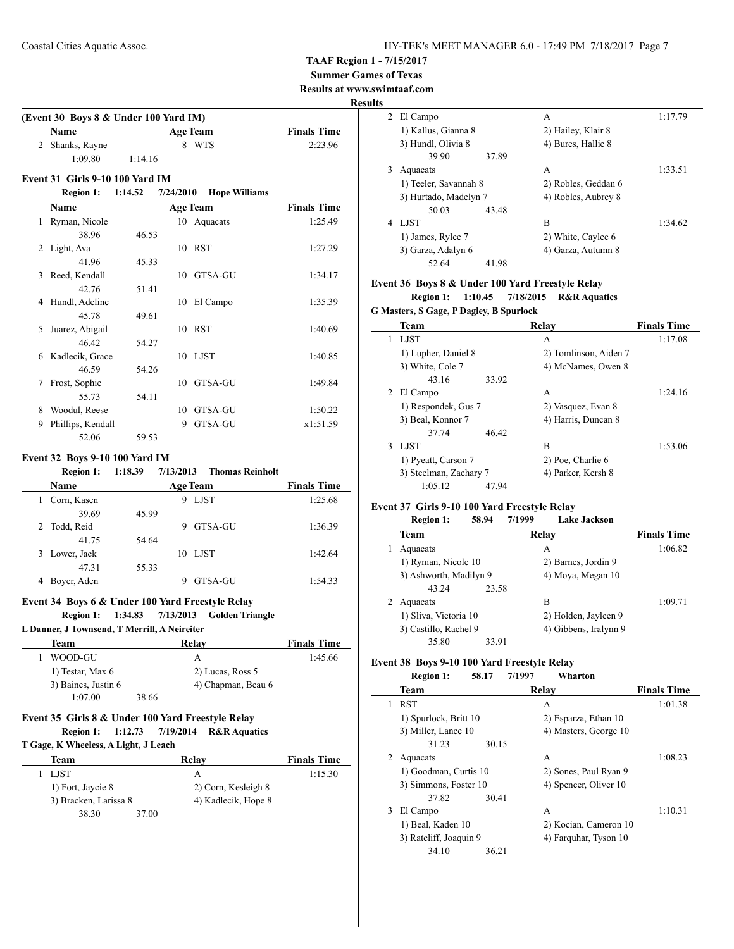**Summer Games of Texas**

**Results at www.swimtaaf.com**

#### **Results**

|   | <b>Name</b>                                               | (Event 30 Boys 8 & Under 100 Yard IM) |           | <b>Age Team</b>           | <b>Finals Time</b>            |
|---|-----------------------------------------------------------|---------------------------------------|-----------|---------------------------|-------------------------------|
|   | 2 Shanks, Rayne                                           |                                       |           | 8 WTS                     | 2:23.96                       |
|   | 1:09.80                                                   | 1:14.16                               |           |                           |                               |
|   | Event 31 Girls 9-10 100 Yard IM                           |                                       |           |                           |                               |
|   | <b>Region 1:</b>                                          | 1:14.52                               | 7/24/2010 | <b>Hope Williams</b>      |                               |
|   | Name                                                      |                                       |           | <b>Age Team</b>           | <b>Finals Time</b>            |
|   | 1 Ryman, Nicole                                           |                                       |           | 10 Aquacats               | 1:25.49                       |
|   | 38.96                                                     | 46.53                                 |           |                           |                               |
| 2 | Light, Ava                                                |                                       |           | 10 RST                    | 1:27.29                       |
|   | 41.96                                                     | 45.33                                 |           |                           |                               |
| 3 | Reed, Kendall                                             |                                       |           | 10 GTSA-GU                | 1:34.17                       |
|   | 42.76                                                     | 51.41                                 |           |                           |                               |
| 4 | Hundl, Adeline                                            |                                       |           | 10 El Campo               | 1:35.39                       |
|   | 45.78                                                     | 49.61                                 |           |                           |                               |
| 5 | Juarez, Abigail                                           |                                       |           | 10 RST                    | 1:40.69                       |
|   | 46.42                                                     | 54.27                                 |           |                           |                               |
|   | 6 Kadlecik, Grace                                         |                                       |           | 10 LJST                   | 1:40.85                       |
|   | 46.59                                                     | 54.26                                 |           |                           |                               |
| 7 | Frost, Sophie                                             |                                       |           | 10 GTSA-GU                | 1:49.84                       |
|   | 55.73                                                     | 54.11                                 |           |                           |                               |
| 8 | Woodul, Reese                                             |                                       |           | 10 GTSA-GU                | 1:50.22                       |
| 9 | Phillips, Kendall                                         |                                       |           | 9 GTSA-GU                 | x1:51.59                      |
|   | 52.06                                                     | 59.53                                 |           |                           |                               |
|   |                                                           |                                       |           |                           |                               |
|   |                                                           |                                       |           |                           |                               |
|   | <b>Event 32 Boys 9-10 100 Yard IM</b><br><b>Region 1:</b> | 1:18.39                               |           | <b>Thomas Reinholt</b>    |                               |
|   |                                                           |                                       | 7/13/2013 |                           |                               |
|   | Name                                                      |                                       |           | <b>Age Team</b><br>9 LJST | 1:25.68                       |
|   | 1 Corn, Kasen<br>39.69                                    | 45.99                                 |           |                           |                               |
| 2 |                                                           |                                       |           | 9 GTSA-GU                 | 1:36.39                       |
|   | Todd, Reid<br>41.75                                       | 54.64                                 |           |                           |                               |
| 3 | Lower, Jack                                               |                                       |           | 10 LJST                   | <b>Finals Time</b><br>1:42.64 |
|   | 47.31                                                     | 55.33                                 |           |                           |                               |
|   | 4 Boyer, Aden                                             |                                       |           | 9 GTSA-GU                 | 1:54.33                       |
|   |                                                           |                                       |           |                           |                               |
|   | Event 34 Boys 6 & Under 100 Yard Freestyle Relay          |                                       |           |                           |                               |
|   | <b>Region 1:</b>                                          | 1:34.83                               | 7/13/2013 | <b>Golden Triangle</b>    |                               |
|   | L Danner, J Townsend, T Merrill, A Neireiter              |                                       |           |                           |                               |
|   | <b>Team</b>                                               |                                       |           | <b>Relay</b>              |                               |
| 1 | WOOD-GU                                                   |                                       |           | A                         | 1:45.66                       |
|   | 1) Testar, Max 6                                          |                                       |           | 2) Lucas, Ross 5          |                               |
|   | 3) Baines, Justin 6                                       |                                       |           | 4) Chapman, Beau 6        | <b>Finals Time</b>            |
|   | 1:07.00                                                   | 38.66                                 |           |                           |                               |
|   | Event 35 Girls 8 & Under 100 Yard Freestyle Relay         |                                       |           |                           |                               |
|   | <b>Region 1:</b>                                          | 1:12.73                               | 7/19/2014 | <b>R&amp;R</b> Aquatics   |                               |
|   | T Gage, K Wheeless, A Light, J Leach                      |                                       |           |                           |                               |
|   | Team                                                      |                                       |           | Relay                     |                               |
| 1 | <b>LJST</b>                                               |                                       |           | A                         | 1:15.30                       |
|   | 1) Fort, Jaycie 8                                         |                                       |           | 2) Corn, Kesleigh 8       | <b>Finals Time</b>            |

| 2 | El Campo              |       | A                   | 1:17.79 |
|---|-----------------------|-------|---------------------|---------|
|   | 1) Kallus, Gianna 8   |       | 2) Hailey, Klair 8  |         |
|   | 3) Hundl, Olivia 8    |       | 4) Bures, Hallie 8  |         |
|   | 39.90                 | 37.89 |                     |         |
| 3 | Aquacats              |       | A                   | 1:33.51 |
|   | 1) Teeler, Savannah 8 |       | 2) Robles, Geddan 6 |         |
|   | 3) Hurtado, Madelyn 7 |       | 4) Robles, Aubrey 8 |         |
|   | 50.03                 | 43.48 |                     |         |
| 4 | <b>LIST</b>           |       | B                   | 1:34.62 |
|   | 1) James, Rylee 7     |       | 2) White, Caylee 6  |         |
|   | 3) Garza, Adalyn 6    |       | 4) Garza, Autumn 8  |         |
|   | 52.64                 | 41.98 |                     |         |

## **Event 36 Boys 8 & Under 100 Yard Freestyle Relay**

**Region 1: 1:10.45 7/18/2015 R&R Aquatics**

## **G Masters, S Gage, P Dagley, B Spurlock**

| <b>Team</b>            | Relav                 | <b>Finals Time</b> |
|------------------------|-----------------------|--------------------|
| <b>LIST</b>            | А                     | 1:17.08            |
| 1) Lupher, Daniel 8    | 2) Tomlinson, Aiden 7 |                    |
| 3) White, Cole 7       | 4) McNames, Owen 8    |                    |
| 43 16                  | 33.92                 |                    |
| 2 El Campo             | A                     | 1:24.16            |
| 1) Respondek, Gus 7    | 2) Vasquez, Evan 8    |                    |
| 3) Beal, Konnor 7      | 4) Harris, Duncan 8   |                    |
| 37 74                  | 46.42                 |                    |
| 3 LJST                 | B                     | 1:53.06            |
| 1) Pyeatt, Carson 7    | 2) Poe, Charlie 6     |                    |
| 3) Steelman, Zachary 7 | 4) Parker, Kersh 8    |                    |
| 1:05.12                | 47.94                 |                    |

#### **Event 37 Girls 9-10 100 Yard Freestyle Relay**

#### **Region 1: 58.94 7/1999 Lake Jackson**

| <b>Team</b>            |       | Relay                 | <b>Finals Time</b> |
|------------------------|-------|-----------------------|--------------------|
| Aquacats               |       | А                     | 1:06.82            |
| 1) Ryman, Nicole 10    |       | 2) Barnes, Jordin 9   |                    |
| 3) Ashworth, Madilyn 9 |       | 4) Moya, Megan 10     |                    |
| 43.24                  | 23.58 |                       |                    |
| Aquacats               |       | в                     | 1:09.71            |
| 1) Sliva, Victoria 10  |       | 2) Holden, Jayleen 9  |                    |
| 3) Castillo, Rachel 9  |       | 4) Gibbens, Iralynn 9 |                    |
| 35.80                  | 33.91 |                       |                    |

## **Event 38 Boys 9-10 100 Yard Freestyle Relay**

|   | <b>Region 1:</b>       | 58.17 | 7/1997 | Wharton               |                    |
|---|------------------------|-------|--------|-----------------------|--------------------|
|   | <b>Team</b>            |       |        | Relay                 | <b>Finals Time</b> |
| 1 | <b>RST</b>             |       |        | A                     | 1:01.38            |
|   | 1) Spurlock, Britt 10  |       |        | 2) Esparza, Ethan 10  |                    |
|   | 3) Miller, Lance 10    |       |        | 4) Masters, George 10 |                    |
|   | 31.23                  | 30.15 |        |                       |                    |
| 2 | Aquacats               |       |        | A                     | 1:08.23            |
|   | 1) Goodman, Curtis 10  |       |        | 2) Sones, Paul Ryan 9 |                    |
|   | 3) Simmons, Foster 10  |       |        | 4) Spencer, Oliver 10 |                    |
|   | 37.82                  | 30.41 |        |                       |                    |
| 3 | El Campo               |       |        | A                     | 1:10.31            |
|   | 1) Beal, Kaden 10      |       |        | 2) Kocian, Cameron 10 |                    |
|   | 3) Ratcliff, Joaquin 9 |       |        | 4) Farquhar, Tyson 10 |                    |
|   | 34.10                  | 36.21 |        |                       |                    |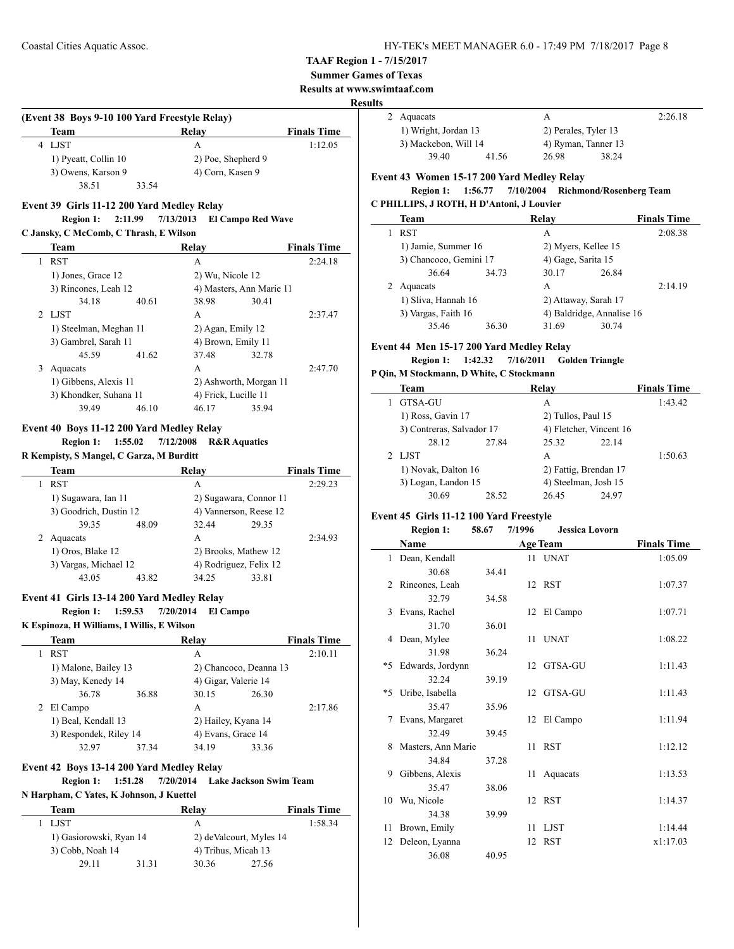**Summer Games of Texas**

**Results at www.swimtaaf.com**

#### **Results**

| (Event 38 Boys 9-10 100 Yard Freestyle Relay) |                    |                    |  |  |  |
|-----------------------------------------------|--------------------|--------------------|--|--|--|
| Team                                          | Relay              | <b>Finals Time</b> |  |  |  |
| 4 LJST                                        | А                  | 1:12.05            |  |  |  |
| 1) Pyeatt, Collin 10                          | 2) Poe, Shepherd 9 |                    |  |  |  |
| 3) Owens, Karson 9                            | 4) Corn, Kasen 9   |                    |  |  |  |
| 38.51                                         | 33.54              |                    |  |  |  |

#### **Event 39 Girls 11-12 200 Yard Medley Relay Region 1: 2:11.99 7/13/2013 El Campo Red Wave**

## **C Jansky, C McComb, C Thrash, E Wilson**

|   | <b>Team</b>            |       | Relay                    |       | <b>Finals Time</b> |
|---|------------------------|-------|--------------------------|-------|--------------------|
| 1 | <b>RST</b>             |       | A                        |       | 2:24.18            |
|   | 1) Jones, Grace 12     |       | 2) Wu, Nicole 12         |       |                    |
|   | 3) Rincones, Leah 12   |       | 4) Masters, Ann Marie 11 |       |                    |
|   | 34.18                  | 40.61 | 38.98                    | 30.41 |                    |
|   | 2 LJST                 |       | A                        |       | 2:37.47            |
|   | 1) Steelman, Meghan 11 |       | 2) Agan, Emily 12        |       |                    |
|   | 3) Gambrel, Sarah 11   |       | 4) Brown, Emily 11       |       |                    |
|   | 45.59                  | 41.62 | 37.48                    | 32.78 |                    |
| 3 | Aquacats               |       | A                        |       | 2:47.70            |
|   | 1) Gibbens, Alexis 11  |       | 2) Ashworth, Morgan 11   |       |                    |
|   | 3) Khondker, Suhana 11 |       | 4) Frick, Lucille 11     |       |                    |
|   | 39.49                  | 46.10 | 46.17                    | 35.94 |                    |
|   |                        |       |                          |       |                    |

#### **Event 40 Boys 11-12 200 Yard Medley Relay**

**Region 1: 1:55.02 7/12/2008 R&R Aquatics**

**R Kempisty, S Mangel, C Garza, M Burditt**

| Team                   |       | Relay | <b>Finals Time</b>     |  |
|------------------------|-------|-------|------------------------|--|
| <b>RST</b>             |       | A     | 2:29.23                |  |
| 1) Sugawara, Ian 11    |       |       | 2) Sugawara, Connor 11 |  |
| 3) Goodrich, Dustin 12 |       |       | 4) Vannerson, Reese 12 |  |
| 39.35                  | 48.09 | 32.44 | 29.35                  |  |
| Aquacats               |       | A     | 2:34.93                |  |
| 1) Oros, Blake 12      |       |       | 2) Brooks, Mathew 12   |  |
| 3) Vargas, Michael 12  |       |       | 4) Rodriguez, Felix 12 |  |
| 43.05                  | 43.82 | 34.25 | 33.81                  |  |

#### **Event 41 Girls 13-14 200 Yard Medley Relay**

## **Region 1: 1:59.53 7/20/2014 El Campo**

**K Espinoza, H Williams, I Willis, E Wilson**

| <b>Team</b> |                        |       | Relay |                        | <b>Finals Time</b> |
|-------------|------------------------|-------|-------|------------------------|--------------------|
| <b>RST</b>  |                        |       | A     |                        | 2:10.11            |
|             | 1) Malone, Bailey 13   |       |       | 2) Chancoco, Deanna 13 |                    |
|             | 3) May, Kenedy 14      |       |       | 4) Gigar, Valerie 14   |                    |
|             | 36.78                  | 36.88 | 30.15 | 26.30                  |                    |
| 2 El Campo  |                        |       | A     |                        | 2:17.86            |
|             | 1) Beal, Kendall 13    |       |       | 2) Hailey, Kyana 14    |                    |
|             | 3) Respondek, Riley 14 |       |       | 4) Evans, Grace 14     |                    |
|             | 32.97                  | 37.34 | 34.19 | 33.36                  |                    |

#### **Event 42 Boys 13-14 200 Yard Medley Relay**

#### **Region 1: 1:51.28 7/20/2014 Lake Jackson Swim Team N Harpham, C Yates, K Johnson, J Kuettel**

| Team                    |       | Relav                   | <b>Finals Time</b> |
|-------------------------|-------|-------------------------|--------------------|
| 1 LJST                  |       | А                       | 1:58.34            |
| 1) Gasiorowski, Ryan 14 |       | 2) deValcourt, Myles 14 |                    |
| 3) Cobb, Noah 14        |       | 4) Trihus, Micah 13     |                    |
| 29.11                   | 31 31 | 30.36                   | 27.56              |

| 2 Aquacats           |                      | А                    |                     | 2:26.18 |
|----------------------|----------------------|----------------------|---------------------|---------|
| 1) Wright, Jordan 13 |                      | 2) Perales, Tyler 13 |                     |         |
|                      | 3) Mackebon, Will 14 |                      | 4) Ryman, Tanner 13 |         |
| 39.40                | 41.56                | 26.98                | 38.24               |         |

#### **Event 43 Women 15-17 200 Yard Medley Relay**

## **Region 1: 1:56.77 7/10/2004 Richmond/Rosenberg Team**

## **C PHILLIPS, J ROTH, H D'Antoni, J Louvier**

| Team                   |       | Relay                     |       | <b>Finals Time</b> |
|------------------------|-------|---------------------------|-------|--------------------|
| <b>RST</b>             |       | A                         |       | 2:08.38            |
| 1) Jamie, Summer 16    |       | 2) Myers, Kellee 15       |       |                    |
| 3) Chancoco, Gemini 17 |       | 4) Gage, Sarita 15        |       |                    |
| 36.64                  | 34.73 | 30.17                     | 26.84 |                    |
| Aquacats               |       | A                         |       | 2:14.19            |
| 1) Sliva, Hannah 16    |       | 2) Attaway, Sarah 17      |       |                    |
| 3) Vargas, Faith 16    |       | 4) Baldridge, Annalise 16 |       |                    |
| 35.46                  | 36.30 | 31.69                     | 30.74 |                    |

#### **Event 44 Men 15-17 200 Yard Medley Relay**

**Region 1: 1:42.32 7/16/2011 Golden Triangle**

#### **P Qin, M Stockmann, D White, C Stockmann**

| Team                      |       | Relay                   |       | <b>Finals Time</b> |
|---------------------------|-------|-------------------------|-------|--------------------|
| GTSA-GU                   |       | A                       |       | 1:43.42            |
| 1) Ross, Gavin 17         |       | 2) Tullos, Paul 15      |       |                    |
| 3) Contreras, Salvador 17 |       | 4) Fletcher, Vincent 16 |       |                    |
| 28.12                     | 27.84 | 25.32                   | 22.14 |                    |
| 2 LJST                    |       | A                       |       | 1:50.63            |
| 1) Novak, Dalton 16       |       | 2) Fattig, Brendan 17   |       |                    |
| 3) Logan, Landon 15       |       | 4) Steelman, Josh 15    |       |                    |
| 30.69                     | 28.52 | 26.45                   | 24.97 |                    |

#### **Event 45 Girls 11-12 100 Yard Freestyle**

#### **Region 1: 58.67 7/1996 Jessica Lovorn**

|              | Name               |       |    | <b>Age Team</b> | <b>Finals Time</b> |
|--------------|--------------------|-------|----|-----------------|--------------------|
| $\mathbf{1}$ | Dean, Kendall      |       |    | 11 UNAT         | 1:05.09            |
|              | 30.68              | 34.41 |    |                 |                    |
| 2            | Rincones, Leah     |       |    | 12 RST          | 1:07.37            |
|              | 32.79              | 34.58 |    |                 |                    |
| 3            | Evans, Rachel      |       |    | 12 El Campo     | 1:07.71            |
|              | 31.70              | 36.01 |    |                 |                    |
| 4            | Dean, Mylee        |       | 11 | <b>UNAT</b>     | 1:08.22            |
|              | 31.98              | 36.24 |    |                 |                    |
| $*5$         | Edwards, Jordynn   |       |    | 12 GTSA-GU      | 1:11.43            |
|              | 32.24              | 39.19 |    |                 |                    |
| $*5$         | Uribe, Isabella    |       |    | 12 GTSA-GU      | 1:11.43            |
|              | 35.47              | 35.96 |    |                 |                    |
| 7            | Evans, Margaret    |       |    | 12 El Campo     | 1:11.94            |
|              | 32.49              | 39.45 |    |                 |                    |
| 8            | Masters, Ann Marie |       |    | 11 RST          | 1:12.12            |
|              | 34.84              | 37.28 |    |                 |                    |
| 9            | Gibbens, Alexis    |       | 11 | Aquacats        | 1:13.53            |
|              | 35.47              | 38.06 |    |                 |                    |
| 10           | Wu, Nicole         |       |    | 12 RST          | 1:14.37            |
|              | 34.38              | 39.99 |    |                 |                    |
| 11           | Brown, Emily       |       | 11 | <b>LJST</b>     | 1:14.44            |
| 12           | Deleon, Lyanna     |       |    | 12 RST          | x1:17.03           |
|              | 36.08              | 40.95 |    |                 |                    |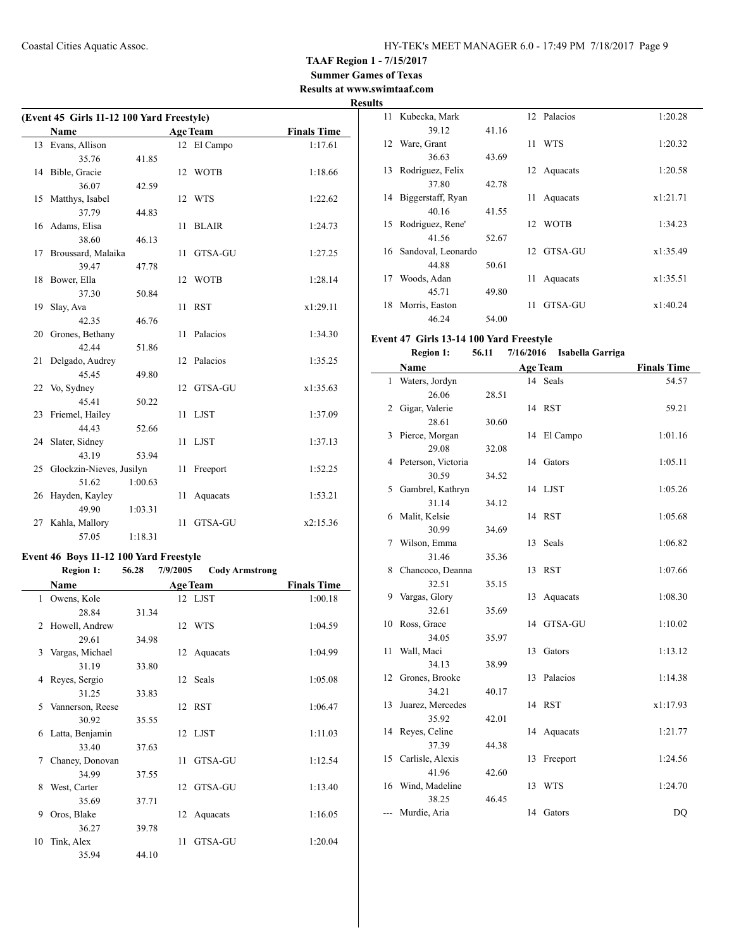**Summer Games of Texas Results at www.swimtaaf.com**

**Results**

| (Event 45 Girls 11-12 100 Yard Freestyle) |                          |         |    |                 |                    |  |
|-------------------------------------------|--------------------------|---------|----|-----------------|--------------------|--|
|                                           | <b>Name</b>              |         |    | <b>Age Team</b> | <b>Finals Time</b> |  |
|                                           | 13 Evans, Allison        |         |    | 12 El Campo     | 1:17.61            |  |
|                                           | 35.76                    | 41.85   |    |                 |                    |  |
|                                           | 14 Bible, Gracie         |         |    | 12 WOTB         | 1:18.66            |  |
|                                           | 36.07                    | 42.59   |    |                 |                    |  |
| 15                                        | Matthys, Isabel          |         |    | 12 WTS          | 1:22.62            |  |
|                                           | 37.79                    | 44.83   |    |                 |                    |  |
|                                           | 16 Adams, Elisa          |         | 11 | <b>BLAIR</b>    | 1:24.73            |  |
|                                           | 38.60                    | 46.13   |    |                 |                    |  |
| 17                                        | Broussard, Malaika       |         | 11 | GTSA-GU         | 1:27.25            |  |
|                                           | 39.47                    | 47.78   |    |                 |                    |  |
| 18                                        | Bower, Ella              |         | 12 | <b>WOTB</b>     | 1:28.14            |  |
|                                           | 37.30                    | 50.84   |    |                 |                    |  |
| 19                                        | Slay, Ava                |         | 11 | <b>RST</b>      | x1:29.11           |  |
|                                           | 42.35                    | 46.76   |    |                 |                    |  |
| 20                                        | Grones, Bethany          |         | 11 | Palacios        | 1:34.30            |  |
|                                           | 42.44                    | 51.86   |    |                 |                    |  |
| 21                                        | Delgado, Audrey          |         | 12 | Palacios        | 1:35.25            |  |
|                                           | 45.45                    | 49.80   |    |                 |                    |  |
| 22                                        | Vo, Sydney               |         | 12 | <b>GTSA-GU</b>  | x1:35.63           |  |
|                                           | 45.41                    | 50.22   |    |                 |                    |  |
| 23                                        | Friemel, Hailey          |         | 11 | <b>LJST</b>     | 1:37.09            |  |
|                                           | 44.43                    | 52.66   |    |                 |                    |  |
| 24                                        | Slater, Sidney           |         | 11 | <b>LJST</b>     | 1:37.13            |  |
|                                           | 43.19                    | 53.94   |    |                 |                    |  |
| 25                                        | Glockzin-Nieves, Jusilyn |         | 11 | Freeport        | 1:52.25            |  |
|                                           | 51.62                    | 1:00.63 |    |                 |                    |  |
| 26                                        | Hayden, Kayley           |         | 11 | Aquacats        | 1:53.21            |  |
|                                           | 49.90                    | 1:03.31 |    |                 |                    |  |
| 27                                        | Kahla, Mallory           |         | 11 | GTSA-GU         | x2:15.36           |  |
|                                           | 57.05                    | 1:18.31 |    |                 |                    |  |
|                                           |                          |         |    |                 |                    |  |

## **Event 46 Boys 11-12 100 Yard Freestyle**

## **Region 1: 56.28 7/9/2005 Cody Armstrong**

|    | Name             |       |    | <b>Age Team</b> | <b>Finals Time</b> |
|----|------------------|-------|----|-----------------|--------------------|
|    | 1 Owens, Kole    |       |    | 12 LJST         | 1:00.18            |
|    | 28.84            | 31.34 |    |                 |                    |
| 2  | Howell, Andrew   |       |    | 12 WTS          | 1:04.59            |
|    | 29.61            | 34.98 |    |                 |                    |
| 3  | Vargas, Michael  |       |    | 12 Aquacats     | 1:04.99            |
|    | 31.19            | 33.80 |    |                 |                    |
| 4  | Reyes, Sergio    |       |    | 12 Seals        | 1:05.08            |
|    | 31.25            | 33.83 |    |                 |                    |
| 5  | Vannerson, Reese |       |    | 12 RST          | 1:06.47            |
|    | 30.92            | 35.55 |    |                 |                    |
| 6  | Latta, Benjamin  |       |    | 12 LJST         | 1:11.03            |
|    | 33.40            | 37.63 |    |                 |                    |
| 7  | Chaney, Donovan  |       | 11 | GTSA-GU         | 1:12.54            |
|    | 34.99            | 37.55 |    |                 |                    |
| 8  | West, Carter     |       |    | 12 GTSA-GU      | 1:13.40            |
|    | 35.69            | 37.71 |    |                 |                    |
| 9  | Oros, Blake      |       |    | 12 Aquacats     | 1:16.05            |
|    | 36.27            | 39.78 |    |                 |                    |
| 10 | Tink, Alex       |       | 11 | GTSA-GU         | 1:20.04            |
|    | 35.94            | 44.10 |    |                 |                    |

| . L.J |                    |       |                  |             |          |
|-------|--------------------|-------|------------------|-------------|----------|
| 11    | Kubecka, Mark      |       |                  | 12 Palacios | 1:20.28  |
|       | 39.12              | 41.16 |                  |             |          |
| 12    | Ware, Grant        |       | 11               | <b>WTS</b>  | 1:20.32  |
|       | 36.63              | 43.69 |                  |             |          |
| 13    | Rodriguez, Felix   |       | 12               | Aquacats    | 1:20.58  |
|       | 37.80              | 42.78 |                  |             |          |
| 14    | Biggerstaff, Ryan  |       | 11               | Aquacats    | x1:21.71 |
|       | 40.16              | 41.55 |                  |             |          |
| 15    | Rodriguez, Rene'   |       | 12 <sup>12</sup> | <b>WOTB</b> | 1:34.23  |
|       | 41.56              | 52.67 |                  |             |          |
| 16    | Sandoval, Leonardo |       |                  | 12 GTSA-GU  | x1:35.49 |
|       | 44.88              | 50.61 |                  |             |          |
| 17    | Woods, Adan        |       | 11               | Aquacats    | x1:35.51 |
|       | 45.71              | 49.80 |                  |             |          |
| 18    | Morris, Easton     |       | 11               | GTSA-GU     | x1:40.24 |
|       | 46.24              | 54.00 |                  |             |          |

## **Event 47 Girls 13-14 100 Yard Freestyle**

## **Region 1: 56.11 7/16/2016 Isabella Garriga**

|    | <b>Name</b>          |       |    | <b>Age Team</b> | <b>Finals Time</b> |
|----|----------------------|-------|----|-----------------|--------------------|
| 1  | Waters, Jordyn       |       |    | 14 Seals        | 54.57              |
|    | 26.06                | 28.51 |    |                 |                    |
| 2  | Gigar, Valerie       |       |    | 14 RST          | 59.21              |
|    | 28.61                | 30.60 |    |                 |                    |
| 3  | Pierce, Morgan       |       |    | 14 El Campo     | 1:01.16            |
|    | 29.08                | 32.08 |    |                 |                    |
|    | 4 Peterson, Victoria |       |    | 14 Gators       | 1:05.11            |
|    | 30.59                | 34.52 |    |                 |                    |
| 5  | Gambrel, Kathryn     |       |    | 14 LJST         | 1:05.26            |
|    | 31.14                | 34.12 |    |                 |                    |
| 6  | Malit, Kelsie        |       |    | 14 RST          | 1:05.68            |
|    | 30.99                | 34.69 |    |                 |                    |
| 7  | Wilson, Emma         |       | 13 | Seals           | 1:06.82            |
|    | 31.46                | 35.36 |    |                 |                    |
| 8  | Chancoco, Deanna     |       | 13 | <b>RST</b>      | 1:07.66            |
|    | 32.51                | 35.15 |    |                 |                    |
| 9  | Vargas, Glory        |       | 13 | Aquacats        | 1:08.30            |
|    | 32.61                | 35.69 |    |                 |                    |
| 10 | Ross, Grace          |       |    | 14 GTSA-GU      | 1:10.02            |
|    | 34.05                | 35.97 |    |                 |                    |
| 11 | Wall, Maci           |       | 13 | Gators          | 1:13.12            |
|    | 34.13                | 38.99 |    |                 |                    |
| 12 | Grones, Brooke       |       | 13 | Palacios        | 1:14.38            |
|    | 34.21                | 40.17 |    |                 |                    |
| 13 | Juarez, Mercedes     |       |    | 14 RST          | x1:17.93           |
|    | 35.92                | 42.01 |    |                 |                    |
| 14 | Reyes, Celine        |       |    | 14 Aquacats     | 1:21.77            |
|    | 37.39                | 44.38 |    |                 |                    |
|    | 15 Carlisle, Alexis  |       | 13 | Freeport        | 1:24.56            |
|    | 41.96                | 42.60 |    |                 |                    |
|    | 16 Wind, Madeline    |       | 13 | <b>WTS</b>      | 1:24.70            |
|    | 38.25                | 46.45 |    |                 |                    |
|    | Murdie, Aria         |       | 14 | Gators          | DQ                 |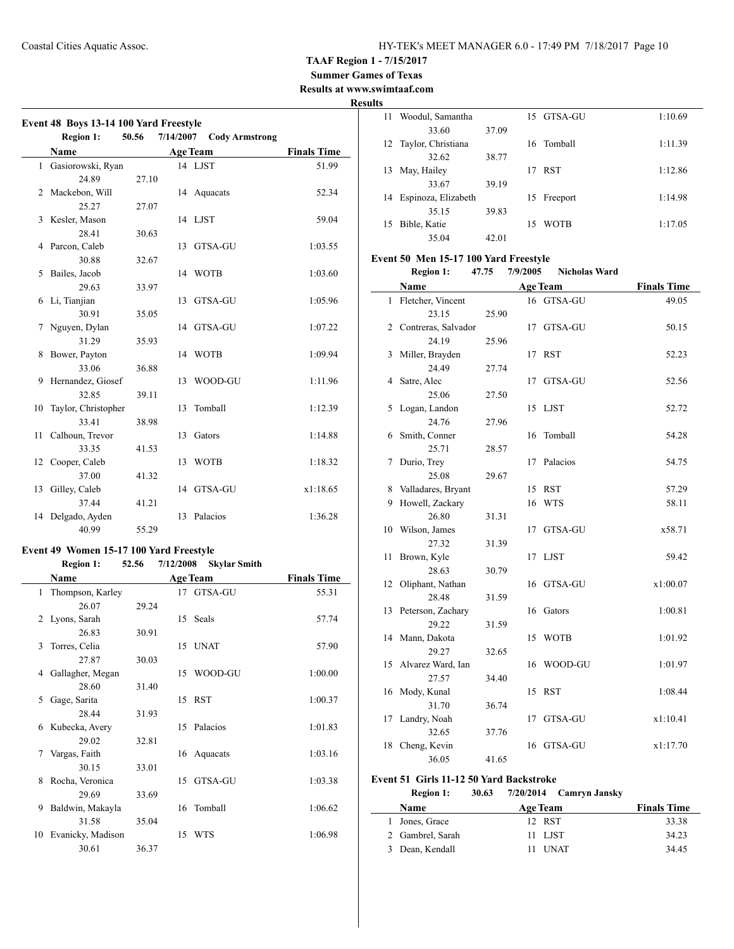**Summer Games of Texas Results at www.swimtaaf.com**

**Results**

|    | Event 48 Boys 13-14 100 Yard Freestyle<br><b>Region 1:</b> | 50.56 | 7/14/2007 | <b>Cody Armstrong</b> |                    |
|----|------------------------------------------------------------|-------|-----------|-----------------------|--------------------|
|    | <b>Name</b>                                                |       |           | <b>Age Team</b>       | <b>Finals Time</b> |
|    | 1 Gasiorowski, Ryan                                        |       |           | 14 LJST               | 51.99              |
|    | 24.89                                                      | 27.10 |           |                       |                    |
| 2  | Mackebon, Will                                             |       |           | 14 Aquacats           | 52.34              |
|    | 25.27                                                      | 27.07 |           |                       |                    |
| 3  | Kesler, Mason                                              |       |           | 14 LJST               | 59.04              |
|    | 28.41                                                      | 30.63 |           |                       |                    |
| 4  | Parcon, Caleb                                              |       |           | 13 GTSA-GU            | 1:03.55            |
|    | 30.88                                                      | 32.67 |           |                       |                    |
| 5  | Bailes, Jacob                                              |       |           | 14 WOTB               | 1:03.60            |
|    | 29.63                                                      | 33.97 |           |                       |                    |
| 6  | Li, Tianjian                                               |       |           | 13 GTSA-GU            | 1:05.96            |
|    | 30.91                                                      | 35.05 |           |                       |                    |
| 7  | Nguyen, Dylan                                              |       |           | 14 GTSA-GU            | 1:07.22            |
|    | 31.29                                                      | 35.93 |           |                       |                    |
| 8  | Bower, Payton                                              |       |           | 14 WOTB               | 1:09.94            |
|    | 33.06                                                      | 36.88 |           |                       |                    |
| 9  | Hernandez, Giosef                                          |       | 13        | WOOD-GU               | 1:11.96            |
|    | 32.85                                                      | 39.11 |           |                       |                    |
| 10 | Taylor, Christopher                                        |       | 13        | Tomball               | 1:12.39            |
|    | 33.41                                                      | 38.98 |           |                       |                    |
| 11 | Calhoun, Trevor                                            |       | 13        | Gators                | 1:14.88            |
|    | 33.35                                                      | 41.53 |           |                       |                    |
| 12 | Cooper, Caleb                                              |       | 13        | <b>WOTB</b>           | 1:18.32            |
|    | 37.00                                                      | 41.32 |           |                       |                    |
| 13 | Gilley, Caleb                                              |       |           | 14 GTSA-GU            | x1:18.65           |
|    | 37.44                                                      | 41.21 |           |                       |                    |
| 14 | Delgado, Ayden                                             |       | 13        | Palacios              | 1:36.28            |
|    | 40.99                                                      | 55.29 |           |                       |                    |

#### **Event 49 Women 15-17 100 Yard Freestyle**

**Region 1: 52.56 7/12/2008 Skylar Smith**

|    | Name               |       |    | <b>Age Team</b> | <b>Finals Time</b> |
|----|--------------------|-------|----|-----------------|--------------------|
|    | 1 Thompson, Karley |       |    | 17 GTSA-GU      | 55.31              |
|    | 26.07              | 29.24 |    |                 |                    |
|    | 2 Lyons, Sarah     |       |    | 15 Seals        | 57.74              |
|    | 26.83              | 30.91 |    |                 |                    |
| 3  | Torres, Celia      |       |    | 15 UNAT         | 57.90              |
|    | 27.87              | 30.03 |    |                 |                    |
| 4  | Gallagher, Megan   |       | 15 | WOOD-GU         | 1:00.00            |
|    | 28.60              | 31.40 |    |                 |                    |
| 5  | Gage, Sarita       |       |    | 15 RST          | 1:00.37            |
|    | 28.44              | 31.93 |    |                 |                    |
| 6  | Kubecka, Avery     |       | 15 | Palacios        | 1:01.83            |
|    | 29.02              | 32.81 |    |                 |                    |
| 7  | Vargas, Faith      |       |    | 16 Aquacats     | 1:03.16            |
|    | 30.15              | 33.01 |    |                 |                    |
| 8  | Rocha, Veronica    |       | 15 | GTSA-GU         | 1:03.38            |
|    | 29.69              | 33.69 |    |                 |                    |
| 9  | Baldwin, Makayla   |       | 16 | Tomball         | 1:06.62            |
|    | 31.58              | 35.04 |    |                 |                    |
| 10 | Evanicky, Madison  |       | 15 | WTS             | 1:06.98            |
|    | 30.61              | 36.37 |    |                 |                    |

| 11 | Woodul, Samantha    |       |    | 15 GTSA-GU  | 1:10.69 |
|----|---------------------|-------|----|-------------|---------|
|    | 33.60               | 37.09 |    |             |         |
| 12 | Taylor, Christiana  |       |    | 16 Tomball  | 1:11.39 |
|    | 32.62               | 38.77 |    |             |         |
| 13 | May, Hailey         |       | 17 | <b>RST</b>  | 1:12.86 |
|    | 33.67               | 39.19 |    |             |         |
| 14 | Espinoza, Elizabeth |       | 15 | Freeport    | 1:14.98 |
|    | 35.15               | 39.83 |    |             |         |
| 15 | Bible, Katie        |       | 15 | <b>WOTB</b> | 1:17.05 |
|    | 35.04               | 42.01 |    |             |         |

#### **Event 50 Men 15-17 100 Yard Freestyle**

| <b>Region 1:</b> | 47.75 | 7/9/2005 | <b>Nicholas Ward</b> |
|------------------|-------|----------|----------------------|
|                  |       |          |                      |

|    | Name                  |       |    | <b>Age Team</b> | <b>Finals Time</b> |
|----|-----------------------|-------|----|-----------------|--------------------|
| 1  | Fletcher, Vincent     |       |    | 16 GTSA-GU      | 49.05              |
|    | 23.15                 | 25.90 |    |                 |                    |
|    | 2 Contreras, Salvador |       | 17 | GTSA-GU         | 50.15              |
|    | 24.19                 | 25.96 |    |                 |                    |
| 3  | Miller, Brayden       |       | 17 | <b>RST</b>      | 52.23              |
|    | 24.49                 | 27.74 |    |                 |                    |
| 4  | Satre, Alec           |       | 17 | GTSA-GU         | 52.56              |
|    | 25.06                 | 27.50 |    |                 |                    |
| 5  | Logan, Landon         |       | 15 | LJST            | 52.72              |
|    | 24.76                 | 27.96 |    |                 |                    |
| 6  | Smith, Conner         |       | 16 | Tomball         | 54.28              |
|    | 25.71                 | 28.57 |    |                 |                    |
| 7  | Durio, Trey           |       | 17 | Palacios        | 54.75              |
|    | 25.08                 | 29.67 |    |                 |                    |
| 8  | Valladares, Bryant    |       | 15 | <b>RST</b>      | 57.29              |
| 9  | Howell, Zackary       |       | 16 | WTS             | 58.11              |
|    | 26.80                 | 31.31 |    |                 |                    |
| 10 | Wilson, James         |       | 17 | GTSA-GU         | x58.71             |
|    | 27.32                 | 31.39 |    |                 |                    |
| 11 | Brown, Kyle           |       | 17 | LJST            | 59.42              |
|    | 28.63                 | 30.79 |    |                 |                    |
| 12 | Oliphant, Nathan      |       | 16 | GTSA-GU         | x1:00.07           |
|    | 28.48                 | 31.59 |    |                 |                    |
| 13 | Peterson, Zachary     |       | 16 | Gators          | 1:00.81            |
|    | 29.22                 | 31.59 |    |                 |                    |
|    | 14 Mann, Dakota       |       | 15 | <b>WOTB</b>     | 1:01.92            |
|    | 29.27                 | 32.65 |    |                 |                    |
|    | 15 Alvarez Ward, Ian  |       | 16 | WOOD-GU         | 1:01.97            |
|    | 27.57                 | 34.40 |    |                 |                    |
|    | 16 Mody, Kunal        |       | 15 | <b>RST</b>      | 1:08.44            |
|    | 31.70                 | 36.74 |    |                 |                    |
| 17 | Landry, Noah          |       | 17 | GTSA-GU         | x1:10.41           |
|    | 32.65                 | 37.76 |    |                 |                    |
| 18 | Cheng, Kevin          |       | 16 | GTSA-GU         | x1:17.70           |
|    | 36.05                 | 41.65 |    |                 |                    |

#### **Event 51 Girls 11-12 50 Yard Backstroke**

## **Region 1: 30.63 7/20/2014 Camryn Jansky**

| <b>Name</b>      | <b>Age Team</b> | <b>Finals Time</b> |
|------------------|-----------------|--------------------|
| 1 Jones, Grace   | 12 RST          | 33.38              |
| 2 Gambrel, Sarah | 11 LJST         | 34.23              |
| 3 Dean, Kendall  | 11 UNAT         | 34.45              |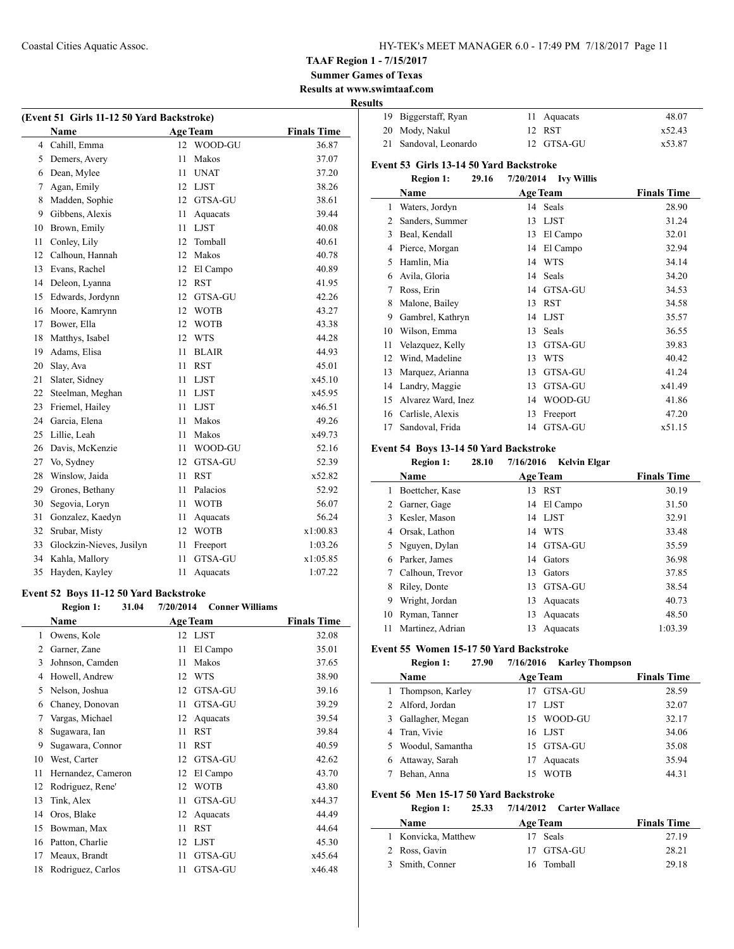**Summer Games of Texas Results at www.swimtaaf.com**

## **Results**

| (Event 51 Girls 11-12 50 Yard Backstroke) |                          |    |                 |                    |  |
|-------------------------------------------|--------------------------|----|-----------------|--------------------|--|
|                                           | Name                     |    | <b>Age Team</b> | <b>Finals Time</b> |  |
| 4                                         | Cahill, Emma             | 12 | WOOD-GU         | 36.87              |  |
| 5                                         | Demers, Avery            | 11 | Makos           | 37.07              |  |
| 6                                         | Dean, Mylee              | 11 | <b>UNAT</b>     | 37.20              |  |
| 7                                         | Agan, Emily              | 12 | <b>LJST</b>     | 38.26              |  |
| 8                                         | Madden, Sophie           | 12 | GTSA-GU         | 38.61              |  |
| 9                                         | Gibbens, Alexis          | 11 | Aquacats        | 39.44              |  |
| 10                                        | Brown, Emily             | 11 | <b>LJST</b>     | 40.08              |  |
| 11                                        | Conley, Lily             | 12 | Tomball         | 40.61              |  |
| 12                                        | Calhoun, Hannah          | 12 | Makos           | 40.78              |  |
| 13                                        | Evans, Rachel            | 12 | El Campo        | 40.89              |  |
| 14                                        | Deleon, Lyanna           | 12 | <b>RST</b>      | 41.95              |  |
| 15                                        | Edwards, Jordynn         | 12 | GTSA-GU         | 42.26              |  |
| 16                                        | Moore, Kamrynn           | 12 | <b>WOTB</b>     | 43.27              |  |
| 17                                        | Bower, Ella              | 12 | <b>WOTB</b>     | 43.38              |  |
| 18                                        | Matthys, Isabel          | 12 | <b>WTS</b>      | 44.28              |  |
| 19                                        | Adams, Elisa             | 11 | <b>BLAIR</b>    | 44.93              |  |
| 20                                        | Slay, Ava                | 11 | <b>RST</b>      | 45.01              |  |
| 21                                        | Slater, Sidney           | 11 | <b>LJST</b>     | x45.10             |  |
| 22                                        | Steelman, Meghan         | 11 | <b>LJST</b>     | x45.95             |  |
| 23                                        | Friemel, Hailey          | 11 | <b>LJST</b>     | x46.51             |  |
| 24                                        | Garcia, Elena            | 11 | Makos           | 49.26              |  |
| 25                                        | Lillie, Leah             | 11 | Makos           | x49.73             |  |
| 26                                        | Davis, McKenzie          | 11 | WOOD-GU         | 52.16              |  |
| 27                                        | Vo, Sydney               | 12 | GTSA-GU         | 52.39              |  |
| 28                                        | Winslow, Jaida           | 11 | <b>RST</b>      | x52.82             |  |
| 29                                        | Grones, Bethany          | 11 | Palacios        | 52.92              |  |
| 30                                        | Segovia, Loryn           | 11 | <b>WOTB</b>     | 56.07              |  |
| 31                                        | Gonzalez, Kaedyn         | 11 | Aquacats        | 56.24              |  |
| 32                                        | Srubar, Misty            | 12 | <b>WOTB</b>     | x1:00.83           |  |
| 33                                        | Glockzin-Nieves, Jusilyn | 11 | Freeport        | 1:03.26            |  |
| 34                                        | Kahla, Mallory           | 11 | <b>GTSA-GU</b>  | x1:05.85           |  |
| 35                                        | Hayden, Kayley           | 11 | Aquacats        | 1:07.22            |  |

## **Event 52 Boys 11-12 50 Yard Backstroke**

|    | 31.04<br><b>Region 1:</b> | 7/20/2014<br><b>Conner Williams</b> |                    |
|----|---------------------------|-------------------------------------|--------------------|
|    | Name                      | <b>Age Team</b>                     | <b>Finals Time</b> |
| 1  | Owens, Kole               | 12 LJST                             | 32.08              |
| 2  | Garner, Zane              | 11<br>El Campo                      | 35.01              |
| 3  | Johnson, Camden           | Makos<br>11                         | 37.65              |
| 4  | Howell, Andrew            | <b>WTS</b><br>12                    | 38.90              |
| 5  | Nelson, Joshua            | <b>GTSA-GU</b><br>12                | 39.16              |
| 6  | Chaney, Donovan           | GTSA-GU<br>11                       | 39.29              |
| 7  | Vargas, Michael           | 12<br>Aquacats                      | 39.54              |
| 8  | Sugawara, Ian             | <b>RST</b><br>11                    | 39.84              |
| 9  | Sugawara, Connor          | <b>RST</b><br>11                    | 40.59              |
| 10 | West, Carter              | GTSA-GU<br>12                       | 42.62              |
| 11 | Hernandez, Cameron        | 12<br>El Campo                      | 43.70              |
| 12 | Rodriguez, Rene'          | <b>WOTB</b><br>12                   | 43.80              |
| 13 | Tink, Alex                | GTSA-GU<br>11                       | x44.37             |
| 14 | Oros, Blake               | 12<br>Aquacats                      | 44.49              |
| 15 | Bowman, Max               | <b>RST</b><br>11                    | 44.64              |
| 16 | Patton, Charlie           | <b>LJST</b><br>12                   | 45.30              |
| 17 | Meaux, Brandt             | GTSA-GU<br>11                       | x45.64             |
| 18 | Rodriguez, Carlos         | GTSA-GU<br>11                       | x46.48             |

| 19 Biggerstaff, Ryan  | 11 Aquacats | 48.07  |
|-----------------------|-------------|--------|
| 20 Mody, Nakul        | 12 RST      | x52.43 |
| 21 Sandoval, Leonardo | 12 GTSA-GU  | x53.87 |

#### **Event 53 Girls 13-14 50 Yard Backstroke Region 1: 29.16 7/20/2014 Ivy Willis**

|                | Region 1:<br>29.10 | 772072014<br>- IVV WIIIIS |                    |
|----------------|--------------------|---------------------------|--------------------|
|                | Name               | <b>Age Team</b>           | <b>Finals Time</b> |
| 1              | Waters, Jordyn     | Seals<br>14               | 28.90              |
| $\overline{c}$ | Sanders, Summer    | <b>LJST</b><br>13         | 31.24              |
| 3              | Beal, Kendall      | El Campo<br>13            | 32.01              |
| 4              | Pierce, Morgan     | El Campo<br>14            | 32.94              |
| 5              | Hamlin, Mia        | <b>WTS</b><br>14          | 34.14              |
| 6              | Avila, Gloria      | Seals<br>14               | 34.20              |
| 7              | Ross, Erin         | GTSA-GU<br>14             | 34.53              |
| 8              | Malone, Bailey     | <b>RST</b><br>13          | 34.58              |
| 9              | Gambrel, Kathryn   | LJST<br>14                | 35.57              |
| 10             | Wilson, Emma       | Seals<br>13               | 36.55              |
| 11             | Velazquez, Kelly   | GTSA-GU<br>13             | 39.83              |
| 12             | Wind, Madeline     | <b>WTS</b><br>13          | 40.42              |
| 13             | Marquez, Arianna   | GTSA-GU<br>13             | 41.24              |
| 14             | Landry, Maggie     | GTSA-GU<br>13             | x41.49             |
| 15             | Alvarez Ward, Inez | WOOD-GU<br>14             | 41.86              |
| 16             | Carlisle, Alexis   | 13<br>Freeport            | 47.20              |
| 17             | Sandoval, Frida    | GTSA-GU<br>14             | x51.15             |

#### **Event 54 Boys 13-14 50 Yard Backstroke**

| <b>Region 1:</b>  | 28.10 |    | Kelvin Elgar |                                                                                                                                                            |
|-------------------|-------|----|--------------|------------------------------------------------------------------------------------------------------------------------------------------------------------|
| Name              |       |    |              | <b>Finals Time</b>                                                                                                                                         |
| Boettcher, Kase   |       | 13 |              | 30.19                                                                                                                                                      |
| Garner, Gage<br>2 |       | 14 |              | 31.50                                                                                                                                                      |
| Kesler, Mason     |       | 14 |              | 32.91                                                                                                                                                      |
| Orsak, Lathon     |       | 14 |              | 33.48                                                                                                                                                      |
| 5 Nguyen, Dylan   |       | 14 |              | 35.59                                                                                                                                                      |
| Parker, James     |       | 14 |              | 36.98                                                                                                                                                      |
| Calhoun, Trevor   |       | 13 |              | 37.85                                                                                                                                                      |
| Riley, Donte      |       | 13 |              | 38.54                                                                                                                                                      |
| Wright, Jordan    |       | 13 |              | 40.73                                                                                                                                                      |
| Ryman, Tanner     |       | 13 |              | 48.50                                                                                                                                                      |
| Martinez, Adrian  |       | 13 |              | 1:03.39                                                                                                                                                    |
|                   |       |    |              | 7/16/2016<br><b>Age Team</b><br><b>RST</b><br>El Campo<br>LJST<br><b>WTS</b><br>GTSA-GU<br>Gators<br>Gators<br>GTSA-GU<br>Aquacats<br>Aquacats<br>Aquacats |

#### **Event 55 Women 15-17 50 Yard Backstroke**

| <b>Region 1:</b>   | 27.90 | 7/16/2016 Karley Thompson |                    |
|--------------------|-------|---------------------------|--------------------|
| <b>Name</b>        |       | <b>Age Team</b>           | <b>Finals Time</b> |
| 1 Thompson, Karley |       | 17 GTSA-GU                | 28.59              |
| 2 Alford, Jordan   |       | 17 LJST                   | 32.07              |
| 3 Gallagher, Megan |       | 15 WOOD-GU                | 32.17              |
| Tran, Vivie        |       | 16 LJST                   | 34.06              |

 Woodul, Samantha 15 GTSA-GU 35.08 Attaway, Sarah 17 Aquacats 35.94 Behan, Anna 15 WOTB 44.31

#### **Event 56 Men 15-17 50 Yard Backstroke**

 $\overline{a}$ 

| <b>Region 1:</b>    | 25.33 |                 | 7/14/2012 Carter Wallace |                    |
|---------------------|-------|-----------------|--------------------------|--------------------|
| <b>Name</b>         |       | <b>Age Team</b> |                          | <b>Finals Time</b> |
| 1 Konvicka, Matthew |       |                 | Seals                    | 27.19              |
| 2 Ross, Gavin       |       |                 | 17 GTSA-GU               | 28.21              |
| 3 Smith, Conner     |       |                 | 16 Tomball               | 29.18              |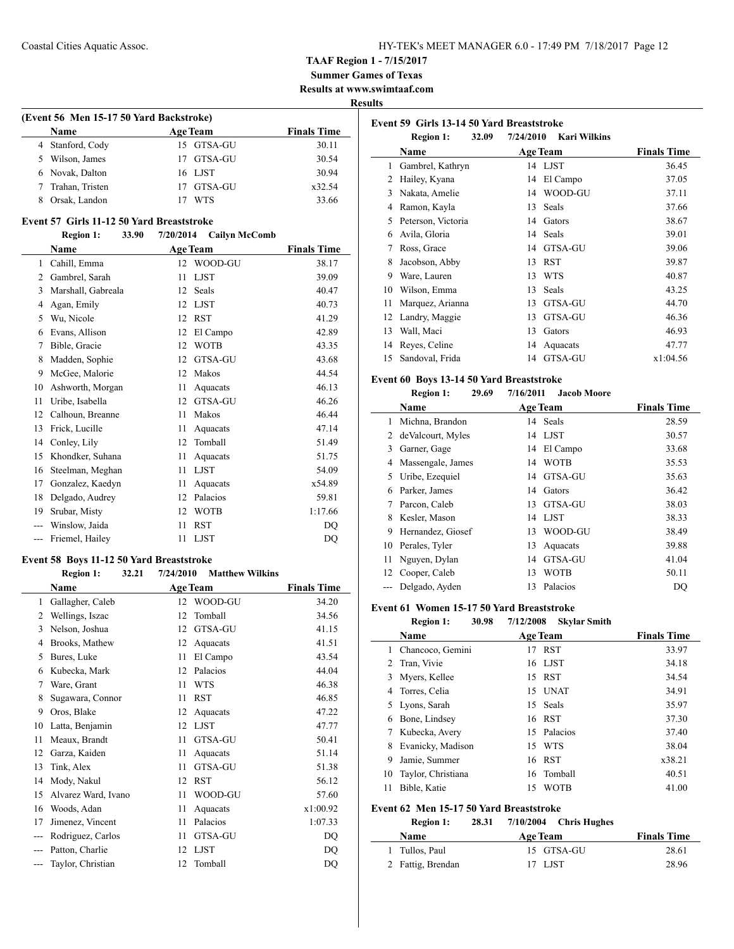**Summer Games of Texas Results at www.swimtaaf.com**

## **Results**

 $\overline{\phantom{a}}$ 

 $\overline{a}$ 

| (Event 56 Men 15-17 50 Yard Backstroke) |  |                 |                    |  |  |
|-----------------------------------------|--|-----------------|--------------------|--|--|
| <b>Name</b>                             |  | <b>Age Team</b> | <b>Finals Time</b> |  |  |
| 4 Stanford, Cody                        |  | 15 GTSA-GU      | 30.11              |  |  |
| 5 Wilson, James                         |  | 17 GTSA-GU      | 30.54              |  |  |
| 6 Novak, Dalton                         |  | 16 LJST         | 30.94              |  |  |
| 7 Trahan, Tristen                       |  | 17 GTSA-GU      | x32.54             |  |  |
| Orsak, Landon                           |  | <b>WTS</b>      | 33.66              |  |  |

#### **Event 57 Girls 11-12 50 Yard Breaststroke**

|     | <b>Region 1:</b><br>33.90 | <b>Cailyn McComb</b><br>7/20/2014 |                    |
|-----|---------------------------|-----------------------------------|--------------------|
|     | <b>Name</b>               | <b>Age Team</b>                   | <b>Finals Time</b> |
| 1   | Cahill, Emma              | WOOD-GU<br>12                     | 38.17              |
| 2   | Gambrel, Sarah            | <b>LJST</b><br>11                 | 39.09              |
| 3   | Marshall, Gabreala        | 12<br>Seals                       | 40.47              |
| 4   | Agan, Emily               | <b>LJST</b><br>12                 | 40.73              |
| 5   | Wu, Nicole                | <b>RST</b><br>12                  | 41.29              |
| 6   | Evans, Allison            | El Campo<br>12                    | 42.89              |
| 7   | Bible, Gracie             | <b>WOTB</b><br>12                 | 43.35              |
| 8   | Madden, Sophie            | GTSA-GU<br>12                     | 43.68              |
| 9   | McGee, Malorie            | Makos<br>12                       | 44.54              |
| 10  | Ashworth, Morgan          | 11<br>Aquacats                    | 46.13              |
| 11  | Uribe, Isabella           | GTSA-GU<br>12                     | 46.26              |
| 12  | Calhoun, Breanne          | Makos<br>11                       | 46.44              |
| 13  | Frick, Lucille            | 11<br>Aquacats                    | 47.14              |
| 14  | Conley, Lily              | Tomball<br>12                     | 51.49              |
| 15  | Khondker, Suhana          | 11<br>Aquacats                    | 51.75              |
| 16  | Steelman, Meghan          | <b>LJST</b><br>11                 | 54.09              |
| 17  | Gonzalez, Kaedyn          | 11<br>Aquacats                    | x54.89             |
| 18  | Delgado, Audrey           | Palacios<br>12                    | 59.81              |
| 19  | Srubar, Misty             | <b>WOTB</b><br>12                 | 1:17.66            |
| --- | Winslow, Jaida            | <b>RST</b><br>11                  | DQ                 |
| --- | Friemel, Hailey           | <b>LJST</b><br>11                 | DQ                 |
|     |                           |                                   |                    |

## **Event 58 Boys 11-12 50 Yard Breaststroke**

|    | <b>Region 1:</b><br>32.21 | 7/24/2010 | <b>Matthew Wilkins</b> |                    |
|----|---------------------------|-----------|------------------------|--------------------|
|    | Name                      |           | <b>Age Team</b>        | <b>Finals Time</b> |
| 1  | Gallagher, Caleb          | 12        | WOOD-GU                | 34.20              |
| 2  | Wellings, Iszac           | 12        | Tomball                | 34.56              |
| 3  | Nelson, Joshua            | 12        | GTSA-GU                | 41.15              |
| 4  | Brooks, Mathew            | 12        | Aquacats               | 41.51              |
| 5  | Bures, Luke               | 11        | El Campo               | 43.54              |
| 6  | Kubecka, Mark             | 12        | Palacios               | 44.04              |
| 7  | Ware, Grant               | 11        | <b>WTS</b>             | 46.38              |
| 8  | Sugawara, Connor          | 11        | <b>RST</b>             | 46.85              |
| 9  | Oros, Blake               | 12        | Aquacats               | 47.22              |
| 10 | Latta, Benjamin           | 12        | <b>LJST</b>            | 47.77              |
| 11 | Meaux, Brandt             | 11        | GTSA-GU                | 50.41              |
| 12 | Garza, Kaiden             | 11        | Aquacats               | 51.14              |
| 13 | Tink, Alex                | 11        | GTSA-GU                | 51.38              |
| 14 | Mody, Nakul               | 12        | <b>RST</b>             | 56.12              |
| 15 | Alvarez Ward, Ivano       | 11        | WOOD-GU                | 57.60              |
| 16 | Woods, Adan               | 11        | Aquacats               | x1:00.92           |
| 17 | Jimenez, Vincent          | 11        | Palacios               | 1:07.33            |
|    | Rodriguez, Carlos         | 11        | GTSA-GU                | DQ                 |
|    | Patton, Charlie           | 12        | <b>LJST</b>            | DQ                 |
|    | Taylor, Christian         | 12        | Tomball                | DQ                 |

| Event 59 Girls 13-14 50 Yard Breaststroke |                           |                                  |                    |  |
|-------------------------------------------|---------------------------|----------------------------------|--------------------|--|
|                                           | <b>Region 1:</b><br>32.09 | <b>Kari Wilkins</b><br>7/24/2010 |                    |  |
|                                           | Name                      | <b>Age Team</b>                  | <b>Finals Time</b> |  |
| 1                                         | Gambrel, Kathryn          | <b>LJST</b><br>14                | 36.45              |  |
| 2                                         | Hailey, Kyana             | El Campo<br>14                   | 37.05              |  |
| 3                                         | Nakata, Amelie            | WOOD-GU<br>14                    | 37.11              |  |
| 4                                         | Ramon, Kayla              | Seals<br>13                      | 37.66              |  |
| 5                                         | Peterson, Victoria        | Gators<br>14                     | 38.67              |  |
| 6                                         | Avila, Gloria             | Seals<br>14                      | 39.01              |  |
| 7                                         | Ross, Grace               | GTSA-GU<br>14                    | 39.06              |  |
| 8                                         | Jacobson, Abby            | <b>RST</b><br>13                 | 39.87              |  |
| 9                                         | Ware, Lauren              | <b>WTS</b><br>13                 | 40.87              |  |
| 10                                        | Wilson, Emma              | 13<br>Seals                      | 43.25              |  |
| 11                                        | Marquez, Arianna          | GTSA-GU<br>13                    | 44.70              |  |
| 12                                        | Landry, Maggie            | GTSA-GU<br>13                    | 46.36              |  |
| 13                                        | Wall, Maci                | 13<br>Gators                     | 46.93              |  |
| 14                                        | Reyes, Celine             | Aquacats<br>14                   | 47.77              |  |
| 15                                        | Sandoval, Frida           | GTSA-GU<br>14                    | x1:04.56           |  |

#### **Event 60 Boys 13-14 50 Yard Breaststroke**

#### **Region 1: 29.69 7/16/2011 Jacob Moore**

|    | Name               |    | <b>Age Team</b> | <b>Finals Time</b> |
|----|--------------------|----|-----------------|--------------------|
|    | Michna, Brandon    |    | 14 Seals        | 28.59              |
| 2  | de Valcourt, Myles | 14 | LJST            | 30.57              |
| 3  | Garner, Gage       | 14 | El Campo        | 33.68              |
| 4  | Massengale, James  | 14 | <b>WOTB</b>     | 35.53              |
| 5  | Uribe, Ezequiel    | 14 | GTSA-GU         | 35.63              |
| 6  | Parker, James      | 14 | Gators          | 36.42              |
|    | Parcon, Caleb      | 13 | GTSA-GU         | 38.03              |
| 8  | Kesler, Mason      | 14 | LJST            | 38.33              |
| 9  | Hernandez, Giosef  | 13 | WOOD-GU         | 38.49              |
| 10 | Perales, Tyler     | 13 | Aquacats        | 39.88              |
| 11 | Nguyen, Dylan      | 14 | GTSA-GU         | 41.04              |
| 12 | Cooper, Caleb      | 13 | <b>WOTB</b>     | 50.11              |
|    | Delgado, Ayden     | 13 | Palacios        | DO                 |

#### **Event 61 Women 15-17 50 Yard Breaststroke**

|    | <b>Region 1:</b><br>30.98 | 7/12/2008<br><b>Skylar Smith</b> |                    |
|----|---------------------------|----------------------------------|--------------------|
|    | Name                      | <b>Age Team</b>                  | <b>Finals Time</b> |
| 1. | Chancoco, Gemini          | <b>RST</b><br>17                 | 33.97              |
| 2  | Tran, Vivie               | 16 LJST                          | 34.18              |
|    | Myers, Kellee             | 15 RST                           | 34.54              |
|    | 4 Torres, Celia           | 15 UNAT                          | 34.91              |
|    | 5 Lyons, Sarah            | 15 Seals                         | 35.97              |
| 6  | Bone, Lindsey             | 16 RST                           | 37.30              |
| 7  | Kubecka, Avery            | Palacios<br>15                   | 37.40              |
| 8  | Evanicky, Madison         | <b>WTS</b><br>15                 | 38.04              |
| 9  | Jamie, Summer             | <b>RST</b><br>16                 | x38.21             |
| 10 | Taylor, Christiana        | 16 Tomball                       | 40.51              |
| 11 | Bible, Katie              | <b>WOTB</b><br>15                | 41.00              |

## **Event 62 Men 15-17 50 Yard Breaststroke**

#### **Region 1: 28.31 7/10/2004 Chris Hughes**

| <b>Name</b>       | <b>Age Team</b> | <b>Finals Time</b> |
|-------------------|-----------------|--------------------|
| 1 Tullos, Paul    | 15 GTSA-GU      | 28.61              |
| 2 Fattig, Brendan | 17 LJST         | 28.96              |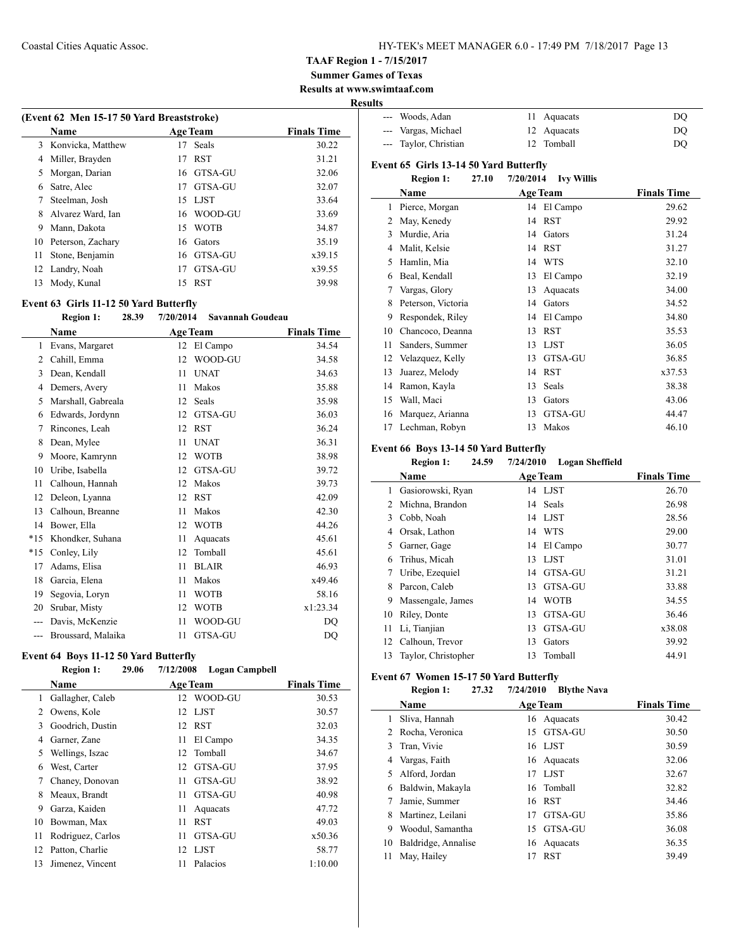**Summer Games of Texas Results at www.swimtaaf.com**

## **Results**

 $\overline{\phantom{a}}$ 

|    | (Event 62 Men 15-17 50 Yard Breaststroke) |                      |                    |  |  |
|----|-------------------------------------------|----------------------|--------------------|--|--|
|    | <b>Name</b>                               | <b>Age Team</b>      | <b>Finals Time</b> |  |  |
| 3  | Konvicka, Matthew                         | Seals<br>17          | 30.22              |  |  |
| 4  | Miller, Brayden                           | <b>RST</b><br>17     | 31.21              |  |  |
| 5  | Morgan, Darian                            | 16 GTSA-GU           | 32.06              |  |  |
| 6  | Satre, Alec                               | <b>GTSA-GU</b><br>17 | 32.07              |  |  |
| 7  | Steelman, Josh                            | LJST<br>15           | 33.64              |  |  |
| 8  | Alvarez Ward, Ian                         | WOOD-GU<br>16.       | 33.69              |  |  |
| 9  | Mann, Dakota                              | <b>WOTB</b><br>15    | 34.87              |  |  |
| 10 | Peterson, Zachary                         | Gators<br>16         | 35.19              |  |  |
| 11 | Stone, Benjamin                           | 16 GTSA-GU           | x39.15             |  |  |
| 12 | Landry, Noah                              | GTSA-GU<br>17        | x39.55             |  |  |
| 13 | Mody, Kunal                               | <b>RST</b><br>15     | 39.98              |  |  |

#### **Event 63 Girls 11-12 50 Yard Butterfly**

#### **Region 1: 28.39 7/20/2014 Savannah Goudeau**

|       | <b>Name</b>        |    | <b>Age Team</b> | <b>Finals Time</b> |
|-------|--------------------|----|-----------------|--------------------|
| 1     | Evans, Margaret    | 12 | El Campo        | 34.54              |
| 2     | Cahill, Emma       | 12 | WOOD-GU         | 34.58              |
| 3     | Dean, Kendall      | 11 | <b>UNAT</b>     | 34.63              |
| 4     | Demers, Avery      | 11 | Makos           | 35.88              |
| 5     | Marshall, Gabreala | 12 | Seals           | 35.98              |
| 6     | Edwards, Jordynn   | 12 | <b>GTSA-GU</b>  | 36.03              |
| 7     | Rincones, Leah     | 12 | <b>RST</b>      | 36.24              |
| 8     | Dean, Mylee        | 11 | <b>UNAT</b>     | 36.31              |
| 9     | Moore, Kamrynn     | 12 | <b>WOTB</b>     | 38.98              |
| 10    | Uribe, Isabella    | 12 | <b>GTSA-GU</b>  | 39.72              |
| 11    | Calhoun, Hannah    | 12 | Makos           | 39.73              |
| 12    | Deleon, Lyanna     | 12 | <b>RST</b>      | 42.09              |
| 13    | Calhoun, Breanne   | 11 | Makos           | 42.30              |
| 14    | Bower, Ella        | 12 | <b>WOTB</b>     | 44.26              |
| $*15$ | Khondker, Suhana   | 11 | Aquacats        | 45.61              |
| $*15$ | Conley, Lily       | 12 | Tomball         | 45.61              |
| 17    | Adams, Elisa       | 11 | <b>BLAIR</b>    | 46.93              |
| 18    | Garcia, Elena      | 11 | Makos           | x49.46             |
| 19    | Segovia, Loryn     | 11 | <b>WOTB</b>     | 58.16              |
| 20    | Srubar, Misty      | 12 | <b>WOTB</b>     | x1:23.34           |
|       | Davis, McKenzie    | 11 | WOOD-GU         | DQ                 |
|       | Broussard, Malaika | 11 | GTSA-GU         | DQ                 |
|       |                    |    |                 |                    |

## **Event 64 Boys 11-12 50 Yard Butterfly**

#### **Region 1: 29.06 7/12/2008 Logan Campbell**

|    | Name              |    | <b>Age Team</b> | <b>Finals Time</b> |
|----|-------------------|----|-----------------|--------------------|
| 1  | Gallagher, Caleb  |    | 12 WOOD-GU      | 30.53              |
| 2  | Owens, Kole       |    | 12 LJST         | 30.57              |
| 3  | Goodrich, Dustin  | 12 | RST             | 32.03              |
| 4  | Garner, Zane      | 11 | El Campo        | 34.35              |
| 5  | Wellings, Iszac   |    | 12 Tomball      | 34.67              |
| 6  | West, Carter      | 12 | GTSA-GU         | 37.95              |
| 7  | Chaney, Donovan   | 11 | GTSA-GU         | 38.92              |
| 8  | Meaux, Brandt     | 11 | GTSA-GU         | 40.98              |
| 9  | Garza, Kaiden     | 11 | Aquacats        | 47.72              |
| 10 | Bowman, Max       | 11 | <b>RST</b>      | 49.03              |
| 11 | Rodriguez, Carlos | 11 | GTSA-GU         | x50.36             |
| 12 | Patton, Charlie   | 12 | <b>LJST</b>     | 58.77              |
| 13 | Jimenez, Vincent  | 11 | Palacios        | 1:10.00            |

| --- Woods, Adan       | 11 Aquacats | DO |
|-----------------------|-------------|----|
| --- Vargas, Michael   | 12 Aquacats | DO |
| --- Taylor, Christian | 12 Tomball  | DO |

## **Event 65 Girls 13-14 50 Yard Butterfly**

|    | <b>Region 1:</b><br>27.10 | 7/20/2014<br><b>Ivy Willis</b> |                    |
|----|---------------------------|--------------------------------|--------------------|
|    | Name                      | <b>Age Team</b>                | <b>Finals Time</b> |
| 1  | Pierce, Morgan            | 14 El Campo                    | 29.62              |
| 2  | May, Kenedy               | <b>RST</b><br>14               | 29.92              |
| 3  | Murdie, Aria              | Gators<br>14                   | 31.24              |
| 4  | Malit, Kelsie             | <b>RST</b><br>14               | 31.27              |
| 5  | Hamlin, Mia               | <b>WTS</b><br>14               | 32.10              |
| 6  | Beal, Kendall             | El Campo<br>13                 | 32.19              |
| 7  | Vargas, Glory             | Aquacats<br>13                 | 34.00              |
| 8  | Peterson, Victoria        | Gators<br>14                   | 34.52              |
| 9  | Respondek, Riley          | El Campo<br>14                 | 34.80              |
| 10 | Chancoco, Deanna          | <b>RST</b><br>13               | 35.53              |
| 11 | Sanders, Summer           | <b>LJST</b><br>13              | 36.05              |
| 12 | Velazquez, Kelly          | GTSA-GU<br>13                  | 36.85              |
| 13 | Juarez, Melody            | <b>RST</b><br>14               | x37.53             |
| 14 | Ramon, Kayla              | Seals<br>13                    | 38.38              |
| 15 | Wall, Maci                | 13<br>Gators                   | 43.06              |
| 16 | Marquez, Arianna          | GTSA-GU<br>13                  | 44.47              |
| 17 | Lechman, Robyn            | Makos<br>13                    | 46.10              |

## **Event 66 Boys 13-14 50 Yard Butterfly**

|    | <b>Region 1:</b><br>24.59 | 7/24/2010         | <b>Logan Sheffield</b> |
|----|---------------------------|-------------------|------------------------|
|    | Name                      | <b>Age Team</b>   | <b>Finals Time</b>     |
| 1  | Gasiorowski, Ryan         | 14 LJST           | 26.70                  |
| 2  | Michna, Brandon           | Seals<br>14       | 26.98                  |
| 3  | Cobb, Noah                | <b>LJST</b><br>14 | 28.56                  |
| 4  | Orsak, Lathon             | WTS<br>14         | 29.00                  |
| 5  | Garner, Gage              | El Campo<br>14    | 30.77                  |
| 6  | Trihus, Micah             | <b>LJST</b><br>13 | 31.01                  |
| 7  | Uribe, Ezequiel           | GTSA-GU<br>14     | 31.21                  |
| 8  | Parcon, Caleb             | GTSA-GU<br>13     | 33.88                  |
| 9  | Massengale, James         | <b>WOTB</b><br>14 | 34.55                  |
| 10 | Riley, Donte              | GTSA-GU<br>13     | 36.46                  |
| 11 | Li, Tianjian              | GTSA-GU<br>13     | x38.08                 |
| 12 | Calhoun, Trevor           | 13<br>Gators      | 39.92                  |
| 13 | Taylor, Christopher       | Tomball<br>13     | 44.91                  |

#### **Event 67 Women 15-17 50 Yard Butterfly**

|    | 27.32<br><b>Region 1:</b> | 7/24/2010<br><b>Blythe Nava</b> |                    |
|----|---------------------------|---------------------------------|--------------------|
|    | Name                      | <b>Age Team</b>                 | <b>Finals Time</b> |
| 1  | Sliva, Hannah             | 16 Aquacats                     | 30.42              |
| 2  | Rocha, Veronica           | 15 GTSA-GU                      | 30.50              |
| 3  | Tran, Vivie               | 16 LJST                         | 30.59              |
| 4  | Vargas, Faith             | 16 Aquacats                     | 32.06              |
| 5  | Alford, Jordan            | LJST<br>17                      | 32.67              |
| 6  | Baldwin, Makayla          | 16 Tomball                      | 32.82              |
| 7  | Jamie, Summer             | <b>RST</b><br>16                | 34.46              |
| 8  | Martinez, Leilani         | GTSA-GU<br>17                   | 35.86              |
| 9  | Woodul, Samantha          | 15 GTSA-GU                      | 36.08              |
| 10 | Baldridge, Annalise       | 16 Aquacats                     | 36.35              |
| 11 | May, Hailey               | <b>RST</b><br>17                | 39.49              |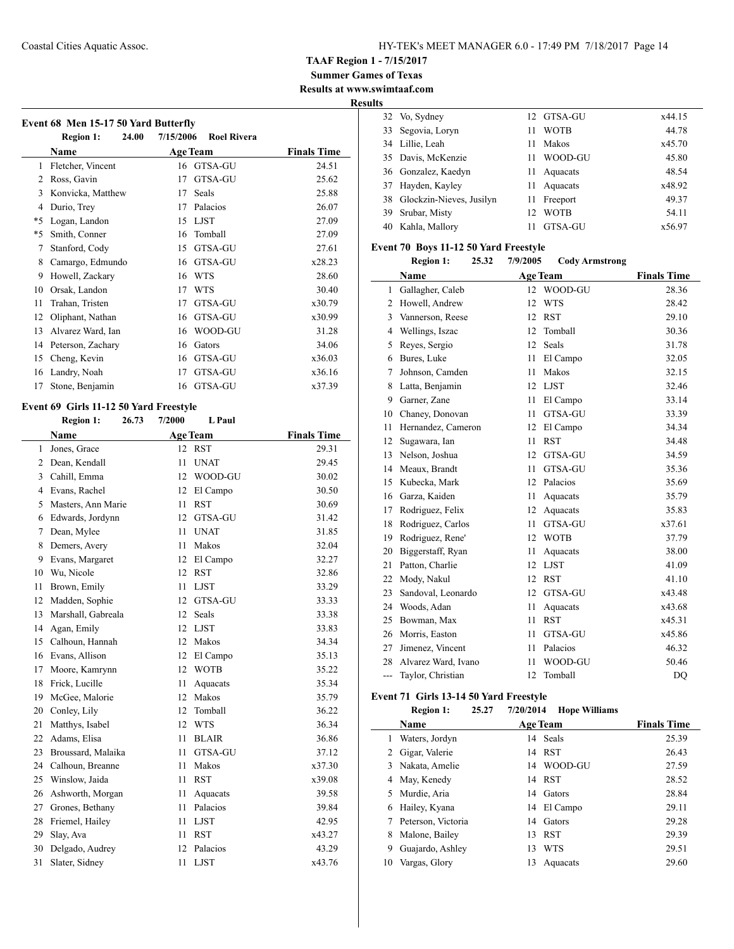**TAAF Region 1 - 7/15/2017**

**Summer Games of Texas Results at www.swimtaaf.com**

**Results**

|                | Event 68 Men 15-17 50 Yard Butterfly |                                 |                    |
|----------------|--------------------------------------|---------------------------------|--------------------|
|                | 24.00<br><b>Region 1:</b>            | 7/15/2006<br><b>Roel Rivera</b> |                    |
|                | <b>Name</b>                          | <b>Age Team</b>                 | <b>Finals Time</b> |
| 1              | Fletcher, Vincent                    | GTSA-GU<br>16                   | 24.51              |
| $\overline{c}$ | Ross, Gavin                          | GTSA-GU<br>17                   | 25.62              |
| 3              | Konvicka, Matthew                    | Seals<br>17                     | 25.88              |
| 4              | Durio, Trey                          | Palacios<br>17                  | 26.07              |
| *5             | Logan, Landon                        | <b>LJST</b><br>15               | 27.09              |
| *5             | Smith, Conner                        | Tomball<br>16                   | 27.09              |
| 7              | Stanford, Cody                       | GTSA-GU<br>15                   | 27.61              |
| 8              | Camargo, Edmundo                     | <b>GTSA-GU</b><br>16            | x28.23             |
| 9              | Howell, Zackary                      | <b>WTS</b><br>16                | 28.60              |
| 10             | Orsak, Landon                        | <b>WTS</b><br>17                | 30.40              |
| 11             | Trahan, Tristen                      | GTSA-GU<br>17                   | x30.79             |
| 12             | Oliphant, Nathan                     | GTSA-GU<br>16                   | x30.99             |
| 13             | Alvarez Ward, Ian                    | WOOD-GU<br>16                   | 31.28              |
| 14             | Peterson, Zachary                    | Gators<br>16                    | 34.06              |
| 15             | Cheng, Kevin                         | GTSA-GU<br>16                   | x36.03             |
| 16             | Landry, Noah                         | GTSA-GU<br>17                   | x36.16             |
| 17             | Stone, Benjamin                      | GTSA-GU<br>16                   | x37.39             |

#### **Event 69 Girls 11-12 50 Yard Freestyle**

|    | <b>Region 1:</b><br>26.73 | 7/2000 | L Paul          |                    |
|----|---------------------------|--------|-----------------|--------------------|
|    | Name                      |        | <b>Age Team</b> | <b>Finals Time</b> |
| 1  | Jones, Grace              | 12     | <b>RST</b>      | 29.31              |
| 2  | Dean, Kendall             | 11     | <b>UNAT</b>     | 29.45              |
| 3  | Cahill, Emma              | 12     | WOOD-GU         | 30.02              |
| 4  | Evans, Rachel             | 12     | El Campo        | 30.50              |
| 5  | Masters, Ann Marie        | 11     | <b>RST</b>      | 30.69              |
| 6  | Edwards, Jordynn          | 12     | <b>GTSA-GU</b>  | 31.42              |
| 7  | Dean, Mylee               | 11     | <b>UNAT</b>     | 31.85              |
| 8  | Demers, Avery             | 11     | Makos           | 32.04              |
| 9  | Evans, Margaret           | 12     | El Campo        | 32.27              |
| 10 | Wu, Nicole                | 12     | <b>RST</b>      | 32.86              |
| 11 | Brown, Emily              | 11     | <b>LJST</b>     | 33.29              |
| 12 | Madden, Sophie            | 12     | <b>GTSA-GU</b>  | 33.33              |
| 13 | Marshall, Gabreala        | 12     | Seals           | 33.38              |
| 14 | Agan, Emily               | 12     | <b>LJST</b>     | 33.83              |
| 15 | Calhoun, Hannah           | 12     | Makos           | 34.34              |
| 16 | Evans, Allison            | 12     | El Campo        | 35.13              |
| 17 | Moore, Kamrynn            | 12     | <b>WOTB</b>     | 35.22              |
| 18 | Frick, Lucille            | 11     | Aquacats        | 35.34              |
| 19 | McGee, Malorie            | 12     | Makos           | 35.79              |
| 20 | Conley, Lily              | 12     | Tomball         | 36.22              |
| 21 | Matthys, Isabel           | 12     | <b>WTS</b>      | 36.34              |
| 22 | Adams, Elisa              | 11     | <b>BLAIR</b>    | 36.86              |
| 23 | Broussard, Malaika        | 11     | <b>GTSA-GU</b>  | 37.12              |
| 24 | Calhoun, Breanne          | 11     | Makos           | x37.30             |
| 25 | Winslow, Jaida            | 11     | <b>RST</b>      | x39.08             |
| 26 | Ashworth, Morgan          | 11     | Aquacats        | 39.58              |
| 27 | Grones, Bethany           | 11     | Palacios        | 39.84              |
| 28 | Friemel, Hailey           | 11     | <b>LJST</b>     | 42.95              |
| 29 | Slay, Ava                 | 11     | <b>RST</b>      | x43.27             |
| 30 | Delgado, Audrey           | 12     | Palacios        | 43.29              |
| 31 | Slater, Sidney            | 11     | <b>LJST</b>     | x43.76             |

| 12 GTSA-GU         | x44.15 |
|--------------------|--------|
| <b>WOTB</b><br>11  | 44.78  |
| Makos<br>11        | x45.70 |
| WOOD-GU<br>11      | 45.80  |
| Aquacats<br>11.    | 48.54  |
| Aquacats<br>11     | x48.92 |
| Freeport<br>11     | 49.37  |
| <b>WOTB</b><br>12. | 54.11  |
| GTSA-GU<br>11      | x56.97 |
|                    |        |

## **Event 70 Boys 11-12 50 Yard Freestyle**

|                | <b>Region 1:</b><br>25.32 | 7/9/2005 | <b>Cody Armstrong</b> |                    |
|----------------|---------------------------|----------|-----------------------|--------------------|
|                | Name                      |          | <b>Age Team</b>       | <b>Finals Time</b> |
| $\mathbf{1}$   | Gallagher, Caleb          | 12       | WOOD-GU               | 28.36              |
| $\overline{c}$ | Howell, Andrew            | 12       | <b>WTS</b>            | 28.42              |
| 3              | Vannerson, Reese          | 12       | <b>RST</b>            | 29.10              |
| 4              | Wellings, Iszac           | 12       | Tomball               | 30.36              |
| 5              | Reves, Sergio             | 12       | Seals                 | 31.78              |
| 6              | Bures, Luke               | 11       | El Campo              | 32.05              |
| 7              | Johnson, Camden           | 11       | Makos                 | 32.15              |
| 8              | Latta, Benjamin           | 12       | <b>LJST</b>           | 32.46              |
| 9              | Garner, Zane              | 11       | El Campo              | 33.14              |
| 10             | Chaney, Donovan           | 11       | <b>GTSA-GU</b>        | 33.39              |
| 11             | Hernandez, Cameron        | 12       | El Campo              | 34.34              |
| 12             | Sugawara, Ian             | 11       | <b>RST</b>            | 34.48              |
| 13             | Nelson, Joshua            | 12       | GTSA-GU               | 34.59              |
| 14             | Meaux, Brandt             | 11       | GTSA-GU               | 35.36              |
| 15             | Kubecka, Mark             | 12       | Palacios              | 35.69              |
| 16             | Garza, Kaiden             | 11       | Aquacats              | 35.79              |
| 17             | Rodriguez, Felix          | 12       | Aquacats              | 35.83              |
| 18             | Rodriguez, Carlos         | 11       | GTSA-GU               | x37.61             |
| 19             | Rodriguez, Rene'          | 12       | <b>WOTB</b>           | 37.79              |
| 20             | Biggerstaff, Ryan         | 11       | Aquacats              | 38.00              |
| 21             | Patton, Charlie           | 12       | <b>LJST</b>           | 41.09              |
| 22             | Mody, Nakul               | 12       | <b>RST</b>            | 41.10              |
| 23             | Sandoval, Leonardo        | 12       | GTSA-GU               | x43.48             |
| 24             | Woods, Adan               | 11       | Aquacats              | x43.68             |
| 25             | Bowman, Max               | 11       | <b>RST</b>            | x45.31             |
| 26             | Morris, Easton            | 11       | GTSA-GU               | x45.86             |
| 27             | Jimenez, Vincent          | 11       | Palacios              | 46.32              |
| 28             | Alvarez Ward, Ivano       | 11       | WOOD-GU               | 50.46              |
| ---            | Taylor, Christian         | 12       | Tomball               | DO                 |

#### **Event 71 Girls 13-14 50 Yard Freestyle Region 1: 25.27 7/20/2014 Hope Willis**

|    | <b>REPROIL 1:</b><br>43.ZI | 772072014<br>поре williams |                    |
|----|----------------------------|----------------------------|--------------------|
|    | Name                       | <b>Age Team</b>            | <b>Finals Time</b> |
|    | Waters, Jordyn             | 14 Seals                   | 25.39              |
| 2  | Gigar, Valerie             | 14 RST                     | 26.43              |
| 3. | Nakata, Amelie             | 14 WOOD-GU                 | 27.59              |
|    | 4 May, Kenedy              | 14 RST                     | 28.52              |
| 5. | Murdie, Aria               | 14 Gators                  | 28.84              |
|    | 6 Hailey, Kyana            | 14 El Campo                | 29.11              |
|    | Peterson, Victoria         | 14 Gators                  | 29.28              |
| 8  | Malone, Bailey             | <b>RST</b><br>13           | 29.39              |
| 9  | Guajardo, Ashley           | <b>WTS</b><br>13           | 29.51              |
| 10 | Vargas, Glory              | 13<br>Aquacats             | 29.60              |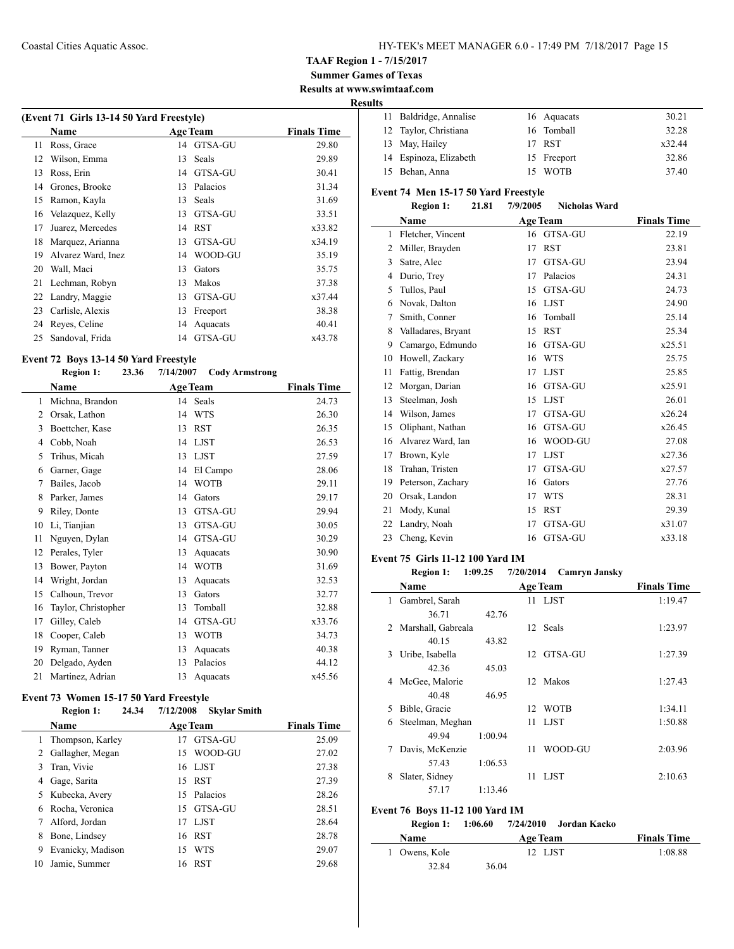**(Event 71 Girls 13-14 50 Yard Freestyle)**

**Name Age Team Finals Time**  Ross, Grace 14 GTSA-GU 29.80 Wilson, Emma 13 Seals 29.89 Ross, Erin 14 GTSA-GU 30.41 Grones, Brooke 13 Palacios 31.34 Ramon, Kayla 13 Seals 31.69 16 Velazquez, Kelly 13 GTSA-GU 33.51 Juarez, Mercedes 14 RST x33.82 18 Marquez, Arianna 13 GTSA-GU x34.19 Alvarez Ward, Inez 14 WOOD-GU 35.19 Wall, Maci 13 Gators 35.75 Lechman, Robyn 13 Makos 37.38 Landry, Maggie 13 GTSA-GU x37.44 23 Carlisle, Alexis 13 Freeport 38.38 24 Reyes, Celine 14 Aquacats 40.41

#### Coastal Cities Aquatic Assoc. HY-TEK's MEET MANAGER 6.0 - 17:49 PM 7/18/2017 Page 15

**TAAF Region 1 - 7/15/2017**

**Summer Games of Texas Results at www.swimtaaf.com**

**Results**

| . |                        |             |        |
|---|------------------------|-------------|--------|
|   | 11 Baldridge, Annalise | 16 Aquacats | 30.21  |
|   | 12 Taylor, Christiana  | 16 Tomball  | 32.28  |
|   | 13 May, Hailey         | 17 RST      | x32.44 |
|   | 14 Espinoza, Elizabeth | 15 Freeport | 32.86  |
|   | 15 Behan, Anna         | 15 WOTB     | 37.40  |

#### **Event 74 Men 15-17 50 Yard Freestyle**

|                | <b>Region 1:</b><br>21.81 | <b>Nicholas Ward</b><br>7/9/2005 |                    |
|----------------|---------------------------|----------------------------------|--------------------|
|                | Name                      | <b>Age Team</b>                  | <b>Finals Time</b> |
| 1              | Fletcher, Vincent         | GTSA-GU<br>16                    | 22.19              |
| $\overline{c}$ | Miller, Brayden           | <b>RST</b><br>17                 | 23.81              |
| 3              | Satre, Alec               | GTSA-GU<br>17                    | 23.94              |
| 4              | Durio, Trey               | Palacios<br>17                   | 24.31              |
| 5              | Tullos, Paul              | GTSA-GU<br>15                    | 24.73              |
| 6              | Novak, Dalton             | <b>LJST</b><br>16                | 24.90              |
| 7              | Smith, Conner             | Tomball<br>16                    | 25.14              |
| 8              | Valladares, Bryant        | <b>RST</b><br>15                 | 25.34              |
| 9              | Camargo, Edmundo          | GTSA-GU<br>16                    | x25.51             |
| 10             | Howell, Zackary           | <b>WTS</b><br>16                 | 25.75              |
| 11             | Fattig, Brendan           | 17<br><b>LJST</b>                | 25.85              |
| 12             | Morgan, Darian            | GTSA-GU<br>16                    | x25.91             |
| 13             | Steelman, Josh            | <b>LJST</b><br>15                | 26.01              |
| 14             | Wilson, James             | GTSA-GU<br>17                    | x26.24             |
| 15             | Oliphant, Nathan          | GTSA-GU<br>16                    | x26.45             |
| 16             | Alvarez Ward, Ian         | WOOD-GU<br>16                    | 27.08              |
| 17             | Brown, Kyle               | <b>LJST</b><br>17                | x27.36             |
| 18             | Trahan, Tristen           | GTSA-GU<br>17                    | x27.57             |
| 19             | Peterson, Zachary         | 16<br>Gators                     | 27.76              |
| 20             | Orsak, Landon             | <b>WTS</b><br>17                 | 28.31              |
| 21             | Mody, Kunal               | <b>RST</b><br>15                 | 29.39              |
| 22             | Landry, Noah              | GTSA-GU<br>17                    | x31.07             |
| 23             | Cheng, Kevin              | GTSA-GU<br>16                    | x33.18             |

#### **Event 75 Girls 11-12 100 Yard IM**

#### **Region 1: 1:09.25 7/20/2014 Camryn Jansky**

|               | Name               |         |    | <b>Age Team</b> | <b>Finals Time</b> |
|---------------|--------------------|---------|----|-----------------|--------------------|
| 1             | Gambrel, Sarah     |         |    | 11 LJST         | 1:19.47            |
|               | 36.71              | 42.76   |    |                 |                    |
| $\mathcal{L}$ | Marshall, Gabreala |         |    | 12 Seals        | 1:23.97            |
|               | 40.15              | 43.82   |    |                 |                    |
| 3             | Uribe, Isabella    |         | 12 | GTSA-GU         | 1:27.39            |
|               | 42.36              | 45.03   |    |                 |                    |
| 4             | McGee, Malorie     |         |    | 12 Makos        | 1:27.43            |
|               | 40.48              | 46.95   |    |                 |                    |
| 5             | Bible, Gracie      |         | 12 | <b>WOTB</b>     | 1:34.11            |
| 6             | Steelman, Meghan   |         | 11 | LJST            | 1:50.88            |
|               | 49.94              | 1:00.94 |    |                 |                    |
| 7             | Davis, McKenzie    |         | 11 | WOOD-GU         | 2:03.96            |
|               | 57.43              | 1:06.53 |    |                 |                    |
| 8             | Slater, Sidney     |         | 11 | <b>LJST</b>     | 2:10.63            |
|               | 57.17              | 1:13.46 |    |                 |                    |

#### **Event 76 Boys 11-12 100 Yard IM**

#### **Region 1: 1:06.60 7/24/2010 Jordan Kacko**

| Name          | <b>Age Team</b> | <b>Finals Time</b> |
|---------------|-----------------|--------------------|
| 1 Owens, Kole | 12 LJST         | 1:08.88            |
| 32.84         | 36.04           |                    |

# Sandoval, Frida 14 GTSA-GU x43.78

#### **Event 72 Boys 13-14 50 Yard Freestyle<br>Region 1: 23.36 7/14/2007 Region 1: 23.36 7/14/2007 Cody Armstrong**

|    | Name                |    | <b>Age Team</b> | <b>Finals Time</b> |
|----|---------------------|----|-----------------|--------------------|
| 1  | Michna, Brandon     | 14 | Seals           | 24.73              |
| 2  | Orsak, Lathon       | 14 | <b>WTS</b>      | 26.30              |
| 3  | Boettcher, Kase     | 13 | <b>RST</b>      | 26.35              |
| 4  | Cobb, Noah          | 14 | <b>LJST</b>     | 26.53              |
| 5  | Trihus, Micah       | 13 | <b>LJST</b>     | 27.59              |
| 6  | Garner, Gage        | 14 | El Campo        | 28.06              |
| 7  | Bailes, Jacob       | 14 | <b>WOTB</b>     | 29.11              |
| 8  | Parker, James       | 14 | Gators          | 29.17              |
| 9  | Riley, Donte        | 13 | GTSA-GU         | 29.94              |
| 10 | Li, Tianjian        | 13 | GTSA-GU         | 30.05              |
| 11 | Nguyen, Dylan       | 14 | GTSA-GU         | 30.29              |
| 12 | Perales, Tyler      | 13 | Aquacats        | 30.90              |
| 13 | Bower, Payton       | 14 | <b>WOTB</b>     | 31.69              |
| 14 | Wright, Jordan      | 13 | Aquacats        | 32.53              |
| 15 | Calhoun, Trevor     | 13 | Gators          | 32.77              |
| 16 | Taylor, Christopher | 13 | Tomball         | 32.88              |
| 17 | Gilley, Caleb       | 14 | GTSA-GU         | x33.76             |
| 18 | Cooper, Caleb       | 13 | <b>WOTB</b>     | 34.73              |
| 19 | Ryman, Tanner       | 13 | Aquacats        | 40.38              |
| 20 | Delgado, Ayden      | 13 | Palacios        | 44.12              |
| 21 | Martinez, Adrian    | 13 | Aquacats        | x45.56             |
|    |                     |    |                 |                    |

#### **Event 73 Women 15-17 50 Yard Freestyle**

|    | <b>Region 1:</b><br>24.34 | 7/12/2008<br><b>Skylar Smith</b> |                    |
|----|---------------------------|----------------------------------|--------------------|
|    | <b>Name</b>               | <b>Age Team</b>                  | <b>Finals Time</b> |
|    | 1 Thompson, Karley        | GTSA-GU<br>17                    | 25.09              |
| 2  | Gallagher, Megan          | WOOD-GU<br>15                    | 27.02              |
| 3  | Tran, Vivie               | 16 LJST                          | 27.38              |
| 4  | Gage, Sarita              | 15 RST                           | 27.39              |
| 5  | Kubecka, Avery            | 15 Palacios                      | 28.26              |
| 6  | Rocha, Veronica           | GTSA-GU<br>15                    | 28.51              |
|    | Alford, Jordan            | 17 LJST                          | 28.64              |
| 8  | Bone, Lindsey             | <b>RST</b><br>16                 | 28.78              |
| 9  | Evanicky, Madison         | <b>WTS</b><br>15                 | 29.07              |
| 10 | Jamie, Summer             | <b>RST</b><br>16                 | 29.68              |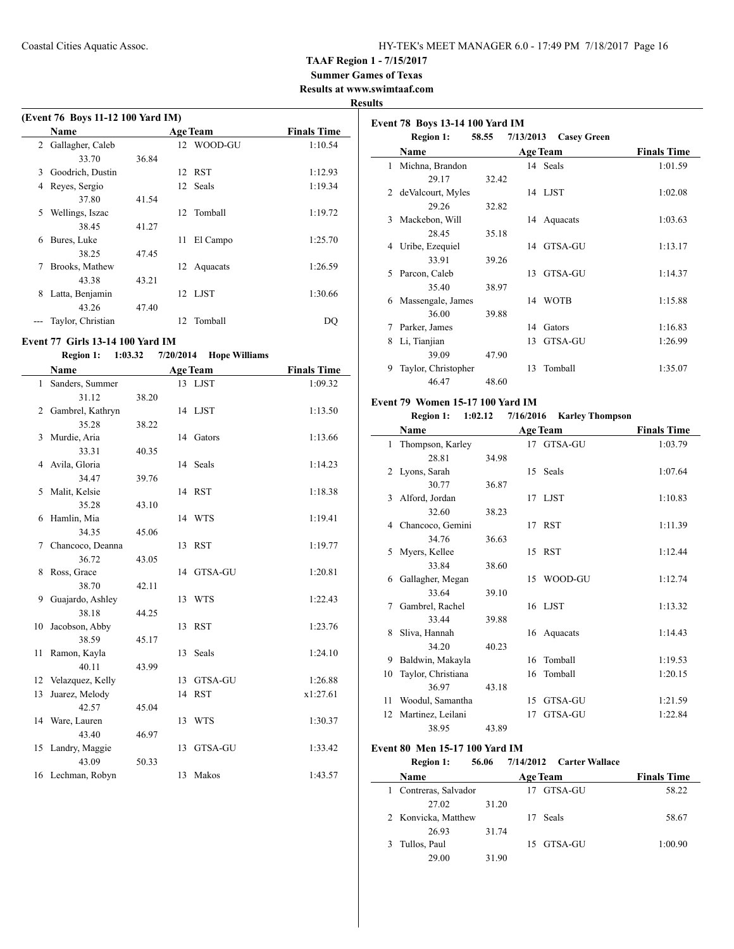**Summer Games of Texas**

**Results at www.swimtaaf.com**

#### **Results**

 $\overline{\phantom{a}}$ 

## **(Event 76 Boys 11-12 100 Yard IM) Name Age Team Finals Time** 2 Gallagher, Caleb 12 WOOD-GU 1:10.54 33.70 36.84 3 Goodrich, Dustin 12 RST 1:12.93 4 Reyes, Sergio 12 Seals 1:19.34 37.80 41.54 5 Wellings, Iszac 12 Tomball 1:19.72 38.45 41.27 6 Bures, Luke 11 El Campo 1:25.70 38.25 47.45 7 Brooks, Mathew 12 Aquacats 1:26.59 43.38 43.21 8 Latta, Benjamin 12 LJST 1:30.66 43.26 47.40 -- Taylor, Christian 12 Tomball DQ

#### **Event 77 Girls 13-14 100 Yard IM**

## **Region 1: 1:03.32 7/20/2014 Hope Williams**

|              | Name             |       |    | <b>Age Team</b> | <b>Finals Time</b> |
|--------------|------------------|-------|----|-----------------|--------------------|
| $\mathbf{1}$ | Sanders, Summer  |       |    | 13 LJST         | 1:09.32            |
|              | 31.12            | 38.20 |    |                 |                    |
| 2            | Gambrel, Kathryn |       |    | 14 LJST         | 1:13.50            |
|              | 35.28            | 38.22 |    |                 |                    |
| 3            | Murdie, Aria     |       |    | 14 Gators       | 1:13.66            |
|              | 33.31            | 40.35 |    |                 |                    |
| 4            | Avila, Gloria    |       |    | 14 Seals        | 1:14.23            |
|              | 34.47            | 39.76 |    |                 |                    |
| 5            | Malit, Kelsie    |       |    | 14 RST          | 1:18.38            |
|              | 35.28            | 43.10 |    |                 |                    |
| 6            | Hamlin, Mia      |       |    | 14 WTS          | 1:19.41            |
|              | 34.35            | 45.06 |    |                 |                    |
| 7            | Chancoco, Deanna |       | 13 | <b>RST</b>      | 1:19.77            |
|              | 36.72            | 43.05 |    |                 |                    |
| 8            | Ross, Grace      |       |    | 14 GTSA-GU      | 1:20.81            |
|              | 38.70            | 42.11 |    |                 |                    |
| 9            | Guajardo, Ashley |       | 13 | <b>WTS</b>      | 1:22.43            |
|              | 38.18            | 44.25 |    |                 |                    |
| 10           | Jacobson, Abby   |       | 13 | <b>RST</b>      | 1:23.76            |
|              | 38.59            | 45.17 |    |                 |                    |
| 11           | Ramon, Kayla     |       | 13 | Seals           | 1:24.10            |
|              | 40.11            | 43.99 |    |                 |                    |
| 12           | Velazquez, Kelly |       |    | 13 GTSA-GU      | 1:26.88            |
| 13           | Juarez, Melody   |       | 14 | <b>RST</b>      | x1:27.61           |
|              | 42.57            | 45.04 |    |                 |                    |
| 14           | Ware, Lauren     |       |    | 13 WTS          | 1:30.37            |
|              | 43.40            | 46.97 |    |                 |                    |
| 15           | Landry, Maggie   |       | 13 | GTSA-GU         | 1:33.42            |
|              | 43.09            | 50.33 |    |                 |                    |
| 16           | Lechman, Robyn   |       | 13 | Makos           | 1:43.57            |

|   | <b>Event 78 Boys 13-14 100 Yard IM</b> |       |           |                    |                    |
|---|----------------------------------------|-------|-----------|--------------------|--------------------|
|   | <b>Region 1:</b>                       | 58.55 | 7/13/2013 | <b>Casey Green</b> |                    |
|   | Name                                   |       |           | <b>Age Team</b>    | <b>Finals Time</b> |
| 1 | Michna, Brandon                        |       |           | 14 Seals           | 1:01.59            |
|   | 29.17                                  | 32.42 |           |                    |                    |
| 2 | deValcourt, Myles                      |       |           | 14 LJST            | 1:02.08            |
|   | 29.26                                  | 32.82 |           |                    |                    |
| 3 | Mackebon, Will                         |       |           | 14 Aquacats        | 1:03.63            |
|   | 28.45                                  | 35.18 |           |                    |                    |
| 4 | Uribe, Ezequiel                        |       |           | 14 GTSA-GU         | 1:13.17            |
|   | 33.91                                  | 39.26 |           |                    |                    |
| 5 | Parcon, Caleb                          |       | 13        | GTSA-GU            | 1:14.37            |
|   | 35.40                                  | 38.97 |           |                    |                    |
| 6 | Massengale, James                      |       | 14        | <b>WOTB</b>        | 1:15.88            |
|   | 36.00                                  | 39.88 |           |                    |                    |
| 7 | Parker, James                          |       | 14        | Gators             | 1:16.83            |
| 8 | Li, Tianjian                           |       | 13        | GTSA-GU            | 1:26.99            |
|   | 39.09                                  | 47.90 |           |                    |                    |
| 9 | Taylor, Christopher                    |       | 13        | Tomball            | 1:35.07            |
|   | 46.47                                  | 48.60 |           |                    |                    |

## **Event 79 Women 15-17 100 Yard IM**

#### **Region 1: 1:02.12 7/16/2016 Karley Thompson**

|              | Name               |       |    | <b>Age Team</b> | <b>Finals Time</b> |
|--------------|--------------------|-------|----|-----------------|--------------------|
| 1            | Thompson, Karley   |       | 17 | GTSA-GU         | 1:03.79            |
|              | 28.81              | 34.98 |    |                 |                    |
| 2            | Lyons, Sarah       |       | 15 | Seals           | 1:07.64            |
|              | 30.77              | 36.87 |    |                 |                    |
| $\mathbf{3}$ | Alford, Jordan     |       |    | 17 LJST         | 1:10.83            |
|              | 32.60              | 38.23 |    |                 |                    |
| 4            | Chancoco, Gemini   |       |    | 17 RST          | 1:11.39            |
|              | 34.76              | 36.63 |    |                 |                    |
| 5            | Myers, Kellee      |       | 15 | <b>RST</b>      | 1:12.44            |
|              | 33.84              | 38.60 |    |                 |                    |
| 6            | Gallagher, Megan   |       | 15 | WOOD-GU         | 1:12.74            |
|              | 33.64              | 39.10 |    |                 |                    |
| 7            | Gambrel, Rachel    |       | 16 | LJST            | 1:13.32            |
|              | 33.44              | 39.88 |    |                 |                    |
| 8            | Sliva, Hannah      |       | 16 | Aquacats        | 1:14.43            |
|              | 34.20              | 40.23 |    |                 |                    |
| 9            | Baldwin, Makayla   |       | 16 | Tomball         | 1:19.53            |
| 10           | Taylor, Christiana |       | 16 | Tomball         | 1:20.15            |
|              | 36.97              | 43.18 |    |                 |                    |
| 11           | Woodul, Samantha   |       | 15 | GTSA-GU         | 1:21.59            |
| 12           | Martinez, Leilani  |       | 17 | GTSA-GU         | 1:22.84            |
|              | 38.95              | 43.89 |    |                 |                    |

#### **Event 80 Men 15-17 100 Yard IM**

#### **Region 1: 56.06 7/14/2012 Carter Wallace**

| <b>Name</b>         |       | <b>Age Team</b> | <b>Finals Time</b> |
|---------------------|-------|-----------------|--------------------|
| Contreras, Salvador |       | GTSA-GU         | 58.22              |
| 27.02               | 31.20 |                 |                    |
| 2 Konvicka, Matthew |       | <b>Seals</b>    | 58.67              |
| 26.93               | 31.74 |                 |                    |
| Tullos, Paul        |       | 15 GTSA-GU      | 1:00.90            |
| 29.00               | 31.90 |                 |                    |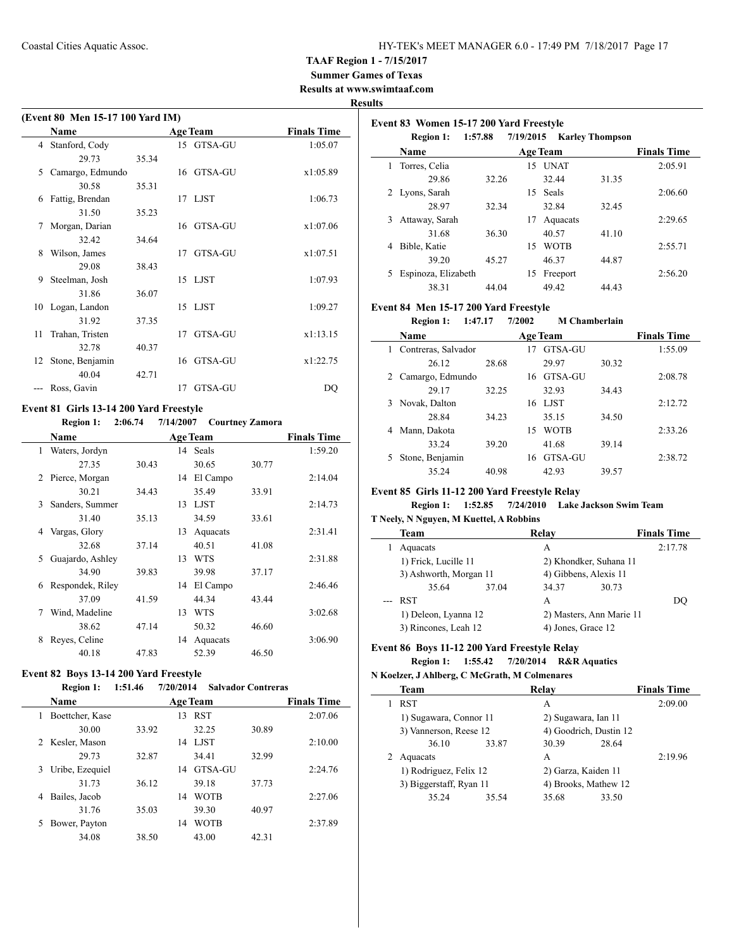**Summer Games of Texas**

**Results at www.swimtaaf.com**

## **Results**

## **(Event 80 Men 15-17 100 Yard IM) Name Age Team Finals Time** 4 Stanford, Cody 15 GTSA-GU 1:05.07 29.73 35.34 5 Camargo, Edmundo 16 GTSA-GU x1:05.89 30.58 35.31 6 Fattig, Brendan 17 LJST 1:06.73 31.50 35.23 7 Morgan, Darian 16 GTSA-GU x1:07.06 32.42 34.64 8 Wilson, James 17 GTSA-GU x1:07.51 29.08 38.43 9 Steelman, Josh 15 LJST 1:07.93 31.86 36.07 10 Logan, Landon 15 LJST 1:09.27 31.92 37.35 11 Trahan, Tristen 17 GTSA-GU x1:13.15 32.78 40.37 12 Stone, Benjamin 16 GTSA-GU x1:22.75 40.04 42.71 --- Ross, Gavin 17 GTSA-GU DQ

#### **Event 81 Girls 13-14 200 Yard Freestyle**

**Region 1: 2:06.74 7/14/2007 Courtney Zamora**

|   | Name             |       |    | <b>Age Team</b> |       | <b>Finals Time</b> |
|---|------------------|-------|----|-----------------|-------|--------------------|
| 1 | Waters, Jordyn   |       |    | 14 Seals        |       | 1:59.20            |
|   | 27.35            | 30.43 |    | 30.65           | 30.77 |                    |
|   | 2 Pierce, Morgan |       | 14 | El Campo        |       | 2:14.04            |
|   | 30.21            | 34.43 |    | 35.49           | 33.91 |                    |
| 3 | Sanders, Summer  |       | 13 | LJST            |       | 2:14.73            |
|   | 31.40            | 35.13 |    | 34.59           | 33.61 |                    |
| 4 | Vargas, Glory    |       | 13 | Aquacats        |       | 2:31.41            |
|   | 32.68            | 37.14 |    | 40.51           | 41.08 |                    |
| 5 | Guajardo, Ashley |       | 13 | <b>WTS</b>      |       | 2:31.88            |
|   | 34.90            | 39.83 |    | 39.98           | 37.17 |                    |
| 6 | Respondek, Riley |       | 14 | El Campo        |       | 2:46.46            |
|   | 37.09            | 41.59 |    | 44.34           | 43.44 |                    |
| 7 | Wind, Madeline   |       | 13 | <b>WTS</b>      |       | 3:02.68            |
|   | 38.62            | 47.14 |    | 50.32           | 46.60 |                    |
| 8 | Reyes, Celine    |       | 14 | Aquacats        |       | 3:06.90            |
|   | 40.18            | 47.83 |    | 52.39           | 46.50 |                    |
|   |                  |       |    |                 |       |                    |

## **Event 82 Boys 13-14 200 Yard Freestyle**

## **Region 1: 1:51.46 7/20/2014 Salvador Contreras**

|   | <b>Name</b>     |       |    | <b>Age Team</b> |       | <b>Finals Time</b> |
|---|-----------------|-------|----|-----------------|-------|--------------------|
|   | Boettcher, Kase |       | 13 | <b>RST</b>      |       | 2:07.06            |
|   | 30.00           | 33.92 |    | 32.25           | 30.89 |                    |
| 2 | Kesler, Mason   |       | 14 | <b>LIST</b>     |       | 2:10.00            |
|   | 29.73           | 32.87 |    | 34.41           | 32.99 |                    |
| 3 | Uribe, Ezequiel |       | 14 | GTSA-GU         |       | 2:24.76            |
|   | 31.73           | 36.12 |    | 39.18           | 37.73 |                    |
|   | Bailes, Jacob   |       | 14 | <b>WOTB</b>     |       | 2:27.06            |
|   | 31.76           | 35.03 |    | 39.30           | 40.97 |                    |
|   | Bower, Payton   |       | 14 | WOTB            |       | 2:37.89            |
|   | 34.08           | 38.50 |    | 43.00           | 42.31 |                    |

|   | Event 83 Women 15-17 200 Yard Freestyle |                       |                 |             |                        |                    |
|---|-----------------------------------------|-----------------------|-----------------|-------------|------------------------|--------------------|
|   | <b>Region 1:</b>                        | $1:57.88$ $7/19/2015$ |                 |             | <b>Karley Thompson</b> |                    |
|   | Name                                    |                       | <b>Age Team</b> |             |                        | <b>Finals Time</b> |
| 1 | Torres, Celia                           |                       |                 | 15 UNAT     |                        | 2:05.91            |
|   | 29.86                                   | 32.26                 |                 | 32.44       | 31.35                  |                    |
|   | 2 Lyons, Sarah                          |                       | 15 Seals        |             |                        | 2:06.60            |
|   | 28.97                                   | 32.34                 |                 | 32.84       | 32.45                  |                    |
| 3 | Attaway, Sarah                          |                       | 17              | Aquacats    |                        | 2:29.65            |
|   | 31.68                                   | 36.30                 |                 | 40.57       | 41.10                  |                    |
| 4 | Bible, Katie                            |                       | 15              | <b>WOTB</b> |                        | 2:55.71            |
|   | 39.20                                   | 45.27                 |                 | 46.37       | 44.87                  |                    |
| 5 | Espinoza, Elizabeth                     |                       | 15              | Freeport    |                        | 2:56.20            |
|   | 38.31                                   | 44.04                 |                 | 49.42       | 44.43                  |                    |

#### **Event 84 Men 15-17 200 Yard Freestyle**

## **Region 1: 1:47.17 7/2002 M Chamberlain Name Age Team Finals Time** 1 Contreras, Salvador 17 GTSA-GU 1:55.09 26.12 28.68 29.97 30.32 2 Camargo, Edmundo 16 GTSA-GU 2:08.78 29.17 32.25 32.93 34.43 3 Novak, Dalton 16 LJST 2:12.72 28.84 34.23 35.15 34.50 4 Mann, Dakota 15 WOTB 2:33.26 33.24 39.20 41.68 39.14

5 Stone, Benjamin 16 GTSA-GU 2:38.72 35.24 40.98 42.93 39.57

#### **Event 85 Girls 11-12 200 Yard Freestyle Relay**

## **Region 1: 1:52.85 7/24/2010 Lake Jackson Swim Team**

## **T Neely, N Nguyen, M Kuettel, A Robbins**

| Team                   |       | Relay                 |                          | <b>Finals Time</b> |
|------------------------|-------|-----------------------|--------------------------|--------------------|
| Aquacats               |       | A                     |                          | 2:17.78            |
| 1) Frick, Lucille 11   |       |                       | 2) Khondker, Suhana 11   |                    |
| 3) Ashworth, Morgan 11 |       | 4) Gibbens, Alexis 11 |                          |                    |
| 35.64                  | 37.04 | 34.37                 | 30.73                    |                    |
| <b>RST</b>             |       | A                     |                          | DO                 |
| 1) Deleon, Lyanna 12   |       |                       | 2) Masters, Ann Marie 11 |                    |
| 3) Rincones, Leah 12   |       | 4) Jones, Grace 12    |                          |                    |

#### **Event 86 Boys 11-12 200 Yard Freestyle Relay**

## **Region 1: 1:55.42 7/20/2014 R&R Aquatics**

## **N Koelzer, J Ahlberg, C McGrath, M Colmenares**

| Team                    |       | Relay                  |       | <b>Finals Time</b> |
|-------------------------|-------|------------------------|-------|--------------------|
| <b>RST</b>              |       | A                      |       | 2:09.00            |
| 1) Sugawara, Connor 11  |       | 2) Sugawara, Ian 11    |       |                    |
| 3) Vannerson, Reese 12  |       | 4) Goodrich, Dustin 12 |       |                    |
| 36.10                   | 33.87 | 30.39                  | 28.64 |                    |
| Aquacats                |       | А                      |       | 2:19.96            |
| 1) Rodriguez, Felix 12  |       | 2) Garza, Kaiden 11    |       |                    |
| 3) Biggerstaff, Ryan 11 |       | 4) Brooks, Mathew 12   |       |                    |
| 35.24                   | 35.54 | 35.68                  | 33.50 |                    |